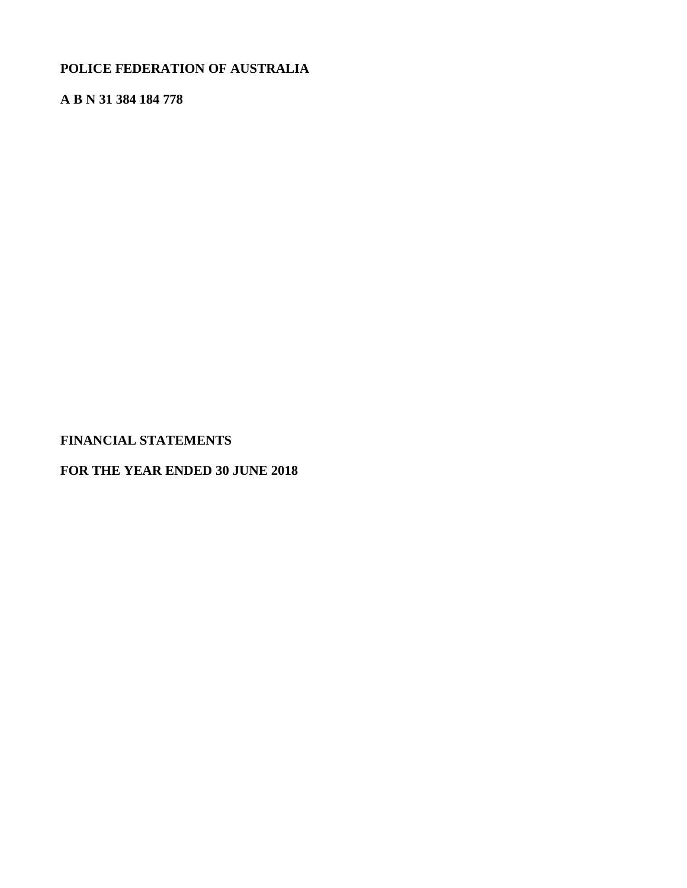# **POLICE FEDERATION OF AUSTRALIA**

# **A B N 31 384 184 778**

**FINANCIAL STATEMENTS**

**FOR THE YEAR ENDED 30 JUNE 2018**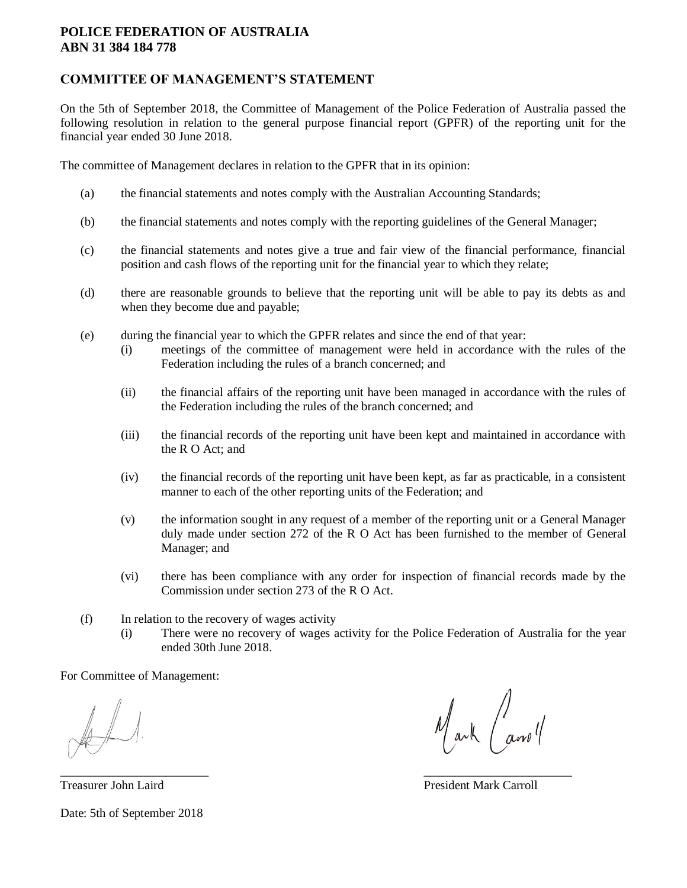## **COMMITTEE OF MANAGEMENT'S STATEMENT**

On the 5th of September 2018, the Committee of Management of the Police Federation of Australia passed the following resolution in relation to the general purpose financial report (GPFR) of the reporting unit for the financial year ended 30 June 2018.

The committee of Management declares in relation to the GPFR that in its opinion:

- (a) the financial statements and notes comply with the Australian Accounting Standards;
- (b) the financial statements and notes comply with the reporting guidelines of the General Manager;
- (c) the financial statements and notes give a true and fair view of the financial performance, financial position and cash flows of the reporting unit for the financial year to which they relate;
- (d) there are reasonable grounds to believe that the reporting unit will be able to pay its debts as and when they become due and payable;
- (e) during the financial year to which the GPFR relates and since the end of that year:
	- (i) meetings of the committee of management were held in accordance with the rules of the Federation including the rules of a branch concerned; and
	- (ii) the financial affairs of the reporting unit have been managed in accordance with the rules of the Federation including the rules of the branch concerned; and
	- (iii) the financial records of the reporting unit have been kept and maintained in accordance with the R O Act; and
	- (iv) the financial records of the reporting unit have been kept, as far as practicable, in a consistent manner to each of the other reporting units of the Federation; and
	- (v) the information sought in any request of a member of the reporting unit or a General Manager duly made under section 272 of the R O Act has been furnished to the member of General Manager; and
	- (vi) there has been compliance with any order for inspection of financial records made by the Commission under section 273 of the R O Act.
- (f) In relation to the recovery of wages activity
	- (i) There were no recovery of wages activity for the Police Federation of Australia for the year ended 30th June 2018.

 $\frac{1}{2}$  , the contract of the contract of the contract of the contract of the contract of the contract of the contract of the contract of the contract of the contract of the contract of the contract of the contract of t

For Committee of Management:

Treasurer John Laird President Mark Carroll Date: 5th of September 2018

Mark and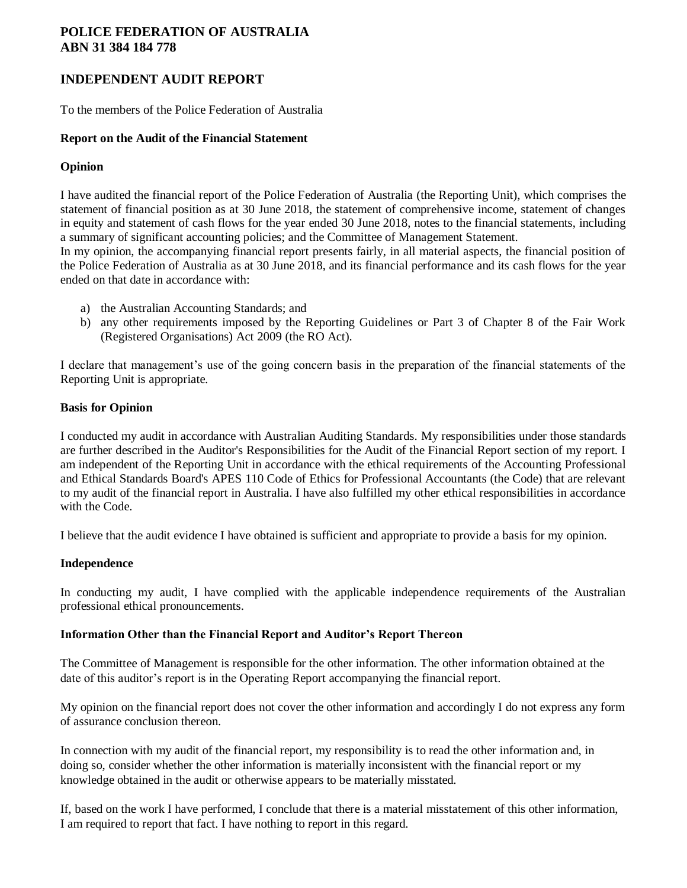# **INDEPENDENT AUDIT REPORT**

To the members of the Police Federation of Australia

### **Report on the Audit of the Financial Statement**

## **Opinion**

I have audited the financial report of the Police Federation of Australia (the Reporting Unit), which comprises the statement of financial position as at 30 June 2018, the statement of comprehensive income, statement of changes in equity and statement of cash flows for the year ended 30 June 2018, notes to the financial statements, including a summary of significant accounting policies; and the Committee of Management Statement.

In my opinion, the accompanying financial report presents fairly, in all material aspects, the financial position of the Police Federation of Australia as at 30 June 2018, and its financial performance and its cash flows for the year ended on that date in accordance with:

- a) the Australian Accounting Standards; and
- b) any other requirements imposed by the Reporting Guidelines or Part 3 of Chapter 8 of the Fair Work (Registered Organisations) Act 2009 (the RO Act).

I declare that management's use of the going concern basis in the preparation of the financial statements of the Reporting Unit is appropriate.

## **Basis for Opinion**

I conducted my audit in accordance with Australian Auditing Standards. My responsibilities under those standards are further described in the Auditor's Responsibilities for the Audit of the Financial Report section of my report. I am independent of the Reporting Unit in accordance with the ethical requirements of the Accounting Professional and Ethical Standards Board's APES 110 Code of Ethics for Professional Accountants (the Code) that are relevant to my audit of the financial report in Australia. I have also fulfilled my other ethical responsibilities in accordance with the Code.

I believe that the audit evidence I have obtained is sufficient and appropriate to provide a basis for my opinion.

## **Independence**

In conducting my audit, I have complied with the applicable independence requirements of the Australian professional ethical pronouncements.

## **Information Other than the Financial Report and Auditor's Report Thereon**

The Committee of Management is responsible for the other information. The other information obtained at the date of this auditor's report is in the Operating Report accompanying the financial report.

My opinion on the financial report does not cover the other information and accordingly I do not express any form of assurance conclusion thereon.

In connection with my audit of the financial report, my responsibility is to read the other information and, in doing so, consider whether the other information is materially inconsistent with the financial report or my knowledge obtained in the audit or otherwise appears to be materially misstated.

If, based on the work I have performed, I conclude that there is a material misstatement of this other information, I am required to report that fact. I have nothing to report in this regard.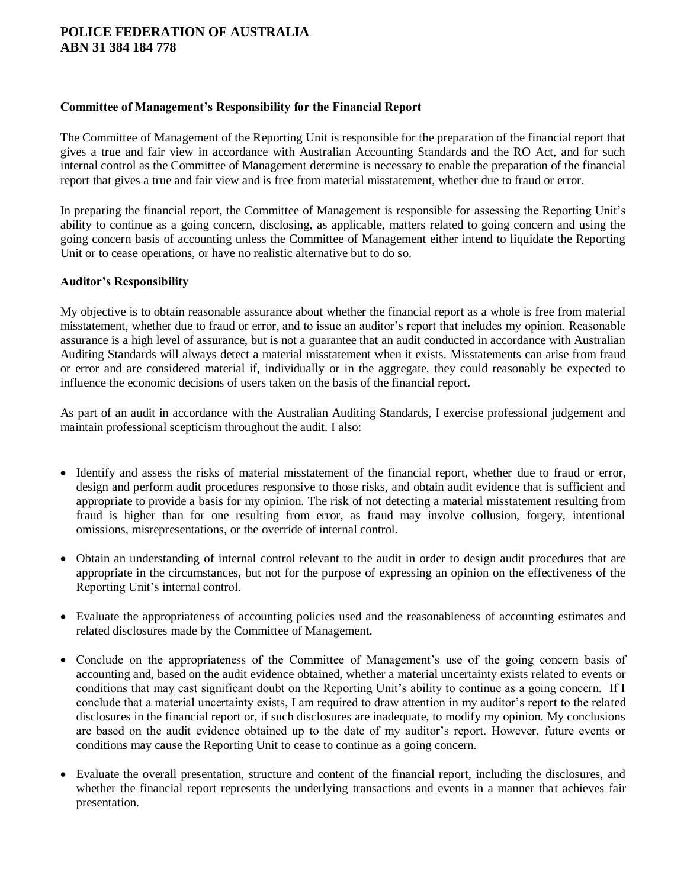### **Committee of Management's Responsibility for the Financial Report**

The Committee of Management of the Reporting Unit is responsible for the preparation of the financial report that gives a true and fair view in accordance with Australian Accounting Standards and the RO Act, and for such internal control as the Committee of Management determine is necessary to enable the preparation of the financial report that gives a true and fair view and is free from material misstatement, whether due to fraud or error.

In preparing the financial report, the Committee of Management is responsible for assessing the Reporting Unit's ability to continue as a going concern, disclosing, as applicable, matters related to going concern and using the going concern basis of accounting unless the Committee of Management either intend to liquidate the Reporting Unit or to cease operations, or have no realistic alternative but to do so.

## **Auditor's Responsibility**

My objective is to obtain reasonable assurance about whether the financial report as a whole is free from material misstatement, whether due to fraud or error, and to issue an auditor's report that includes my opinion. Reasonable assurance is a high level of assurance, but is not a guarantee that an audit conducted in accordance with Australian Auditing Standards will always detect a material misstatement when it exists. Misstatements can arise from fraud or error and are considered material if, individually or in the aggregate, they could reasonably be expected to influence the economic decisions of users taken on the basis of the financial report.

As part of an audit in accordance with the Australian Auditing Standards, I exercise professional judgement and maintain professional scepticism throughout the audit. I also:

- Identify and assess the risks of material misstatement of the financial report, whether due to fraud or error, design and perform audit procedures responsive to those risks, and obtain audit evidence that is sufficient and appropriate to provide a basis for my opinion. The risk of not detecting a material misstatement resulting from fraud is higher than for one resulting from error, as fraud may involve collusion, forgery, intentional omissions, misrepresentations, or the override of internal control.
- Obtain an understanding of internal control relevant to the audit in order to design audit procedures that are appropriate in the circumstances, but not for the purpose of expressing an opinion on the effectiveness of the Reporting Unit's internal control.
- Evaluate the appropriateness of accounting policies used and the reasonableness of accounting estimates and related disclosures made by the Committee of Management.
- Conclude on the appropriateness of the Committee of Management's use of the going concern basis of accounting and, based on the audit evidence obtained, whether a material uncertainty exists related to events or conditions that may cast significant doubt on the Reporting Unit's ability to continue as a going concern. If I conclude that a material uncertainty exists, I am required to draw attention in my auditor's report to the related disclosures in the financial report or, if such disclosures are inadequate, to modify my opinion. My conclusions are based on the audit evidence obtained up to the date of my auditor's report. However, future events or conditions may cause the Reporting Unit to cease to continue as a going concern.
- Evaluate the overall presentation, structure and content of the financial report, including the disclosures, and whether the financial report represents the underlying transactions and events in a manner that achieves fair presentation.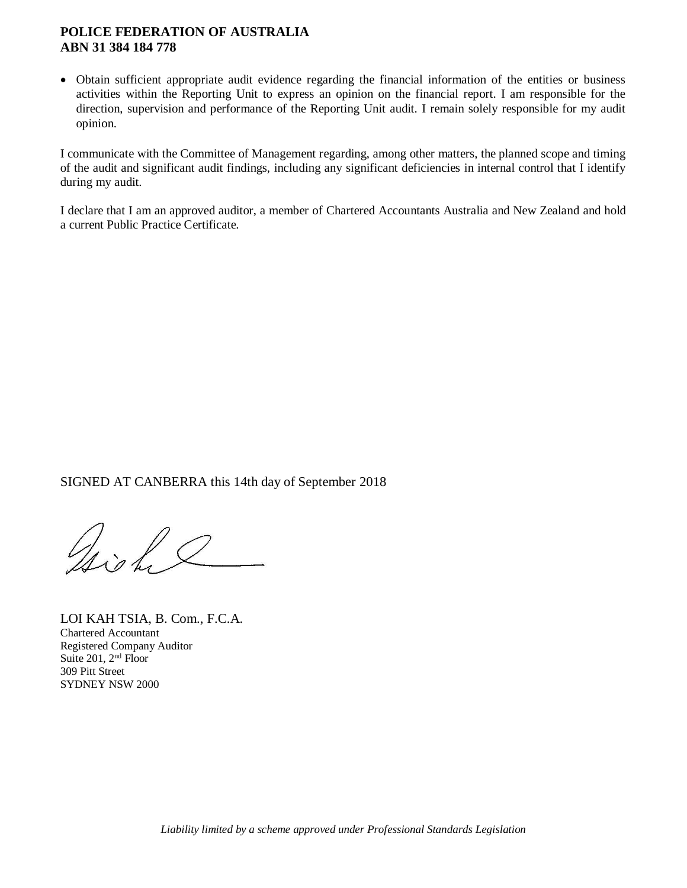• Obtain sufficient appropriate audit evidence regarding the financial information of the entities or business activities within the Reporting Unit to express an opinion on the financial report. I am responsible for the direction, supervision and performance of the Reporting Unit audit. I remain solely responsible for my audit opinion.

I communicate with the Committee of Management regarding, among other matters, the planned scope and timing of the audit and significant audit findings, including any significant deficiencies in internal control that I identify during my audit.

I declare that I am an approved auditor, a member of Chartered Accountants Australia and New Zealand and hold a current Public Practice Certificate.

SIGNED AT CANBERRA this 14th day of September 2018

Joint

LOI KAH TSIA, B. Com., F.C.A. Chartered Accountant Registered Company Auditor Suite 201, 2<sup>nd</sup> Floor 309 Pitt Street SYDNEY NSW 2000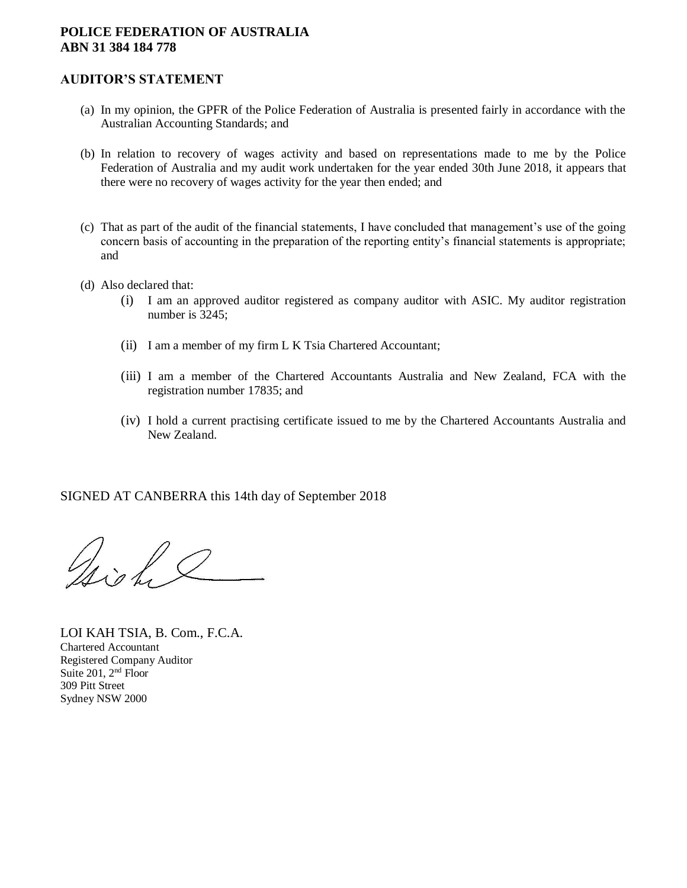## **AUDITOR'S STATEMENT**

- (a) In my opinion, the GPFR of the Police Federation of Australia is presented fairly in accordance with the Australian Accounting Standards; and
- (b) In relation to recovery of wages activity and based on representations made to me by the Police Federation of Australia and my audit work undertaken for the year ended 30th June 2018, it appears that there were no recovery of wages activity for the year then ended; and
- (c) That as part of the audit of the financial statements, I have concluded that management's use of the going concern basis of accounting in the preparation of the reporting entity's financial statements is appropriate; and
- (d) Also declared that:
	- (i) I am an approved auditor registered as company auditor with ASIC. My auditor registration number is 3245;
	- (ii) I am a member of my firm L K Tsia Chartered Accountant;
	- (iii) I am a member of the Chartered Accountants Australia and New Zealand, FCA with the registration number 17835; and
	- (iv) I hold a current practising certificate issued to me by the Chartered Accountants Australia and New Zealand.

SIGNED AT CANBERRA this 14th day of September 2018

Gright 2

LOI KAH TSIA, B. Com., F.C.A. Chartered Accountant Registered Company Auditor Suite 201, 2<sup>nd</sup> Floor 309 Pitt Street Sydney NSW 2000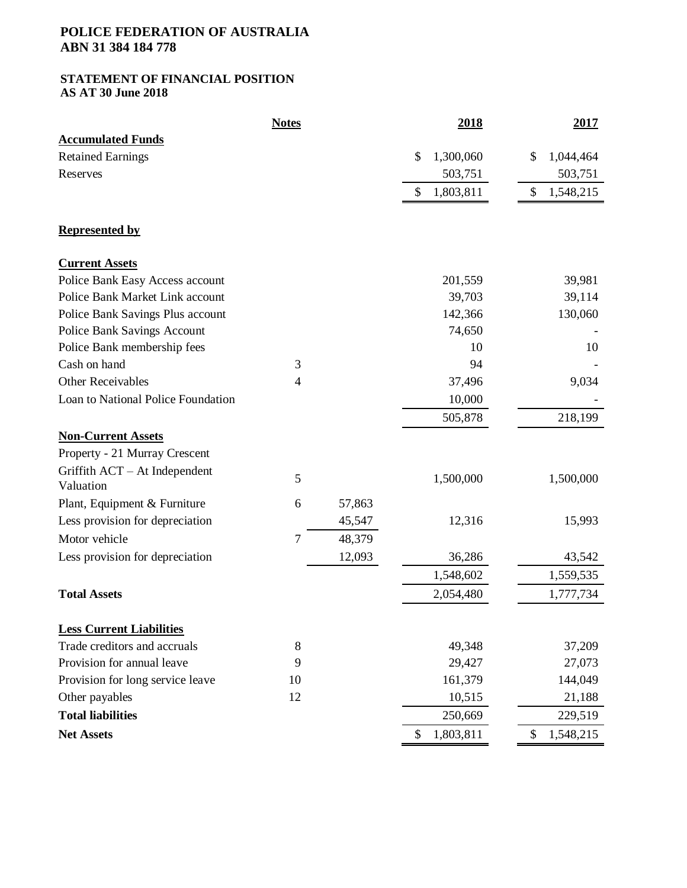### **STATEMENT OF FINANCIAL POSITION AS AT 30 June 2018**

|                                              | <b>Notes</b>   |        | 2018            | 2017            |
|----------------------------------------------|----------------|--------|-----------------|-----------------|
| <b>Accumulated Funds</b>                     |                |        |                 |                 |
| <b>Retained Earnings</b>                     |                |        | \$<br>1,300,060 | \$<br>1,044,464 |
| Reserves                                     |                |        | 503,751         | 503,751         |
|                                              |                |        | \$<br>1,803,811 | \$<br>1,548,215 |
| <b>Represented by</b>                        |                |        |                 |                 |
| <b>Current Assets</b>                        |                |        |                 |                 |
| Police Bank Easy Access account              |                |        | 201,559         | 39,981          |
| Police Bank Market Link account              |                |        | 39,703          | 39,114          |
| Police Bank Savings Plus account             |                |        | 142,366         | 130,060         |
| <b>Police Bank Savings Account</b>           |                |        | 74,650          |                 |
| Police Bank membership fees                  |                |        | 10              | 10              |
| Cash on hand                                 | 3              |        | 94              |                 |
| <b>Other Receivables</b>                     | 4              |        | 37,496          | 9,034           |
| Loan to National Police Foundation           |                |        | 10,000          |                 |
|                                              |                |        | 505,878         | 218,199         |
| <b>Non-Current Assets</b>                    |                |        |                 |                 |
| Property - 21 Murray Crescent                |                |        |                 |                 |
| Griffith $ACT - At$ Independent<br>Valuation | 5              |        | 1,500,000       | 1,500,000       |
| Plant, Equipment & Furniture                 | 6              | 57,863 |                 |                 |
| Less provision for depreciation              |                | 45,547 | 12,316          | 15,993          |
| Motor vehicle                                | $\overline{7}$ | 48,379 |                 |                 |
| Less provision for depreciation              |                | 12,093 | 36,286          | 43,542          |
|                                              |                |        | 1,548,602       | 1,559,535       |
| <b>Total Assets</b>                          |                |        | 2,054,480       | 1,777,734       |
| <b>Less Current Liabilities</b>              |                |        |                 |                 |
| Trade creditors and accruals                 | 8              |        | 49,348          | 37,209          |
| Provision for annual leave                   | 9              |        | 29,427          | 27,073          |
| Provision for long service leave             | 10             |        | 161,379         | 144,049         |
| Other payables                               | 12             |        | 10,515          | 21,188          |
| <b>Total liabilities</b>                     |                |        | 250,669         | 229,519         |
| <b>Net Assets</b>                            |                |        | 1,803,811<br>\$ | 1,548,215<br>\$ |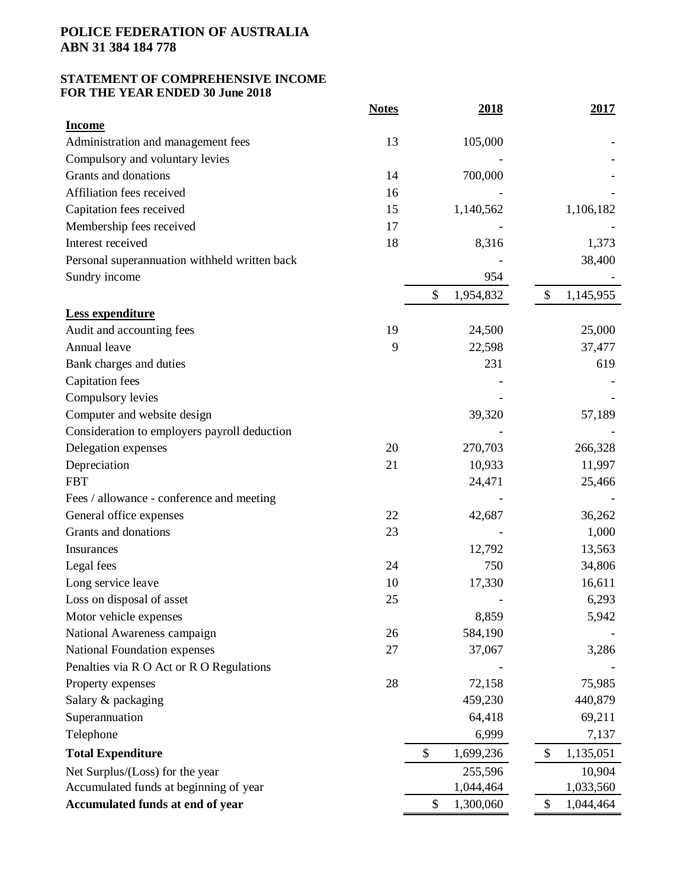## **STATEMENT OF COMPREHENSIVE INCOME FOR THE YEAR ENDED 30 June 2018**

|                                               | <b>Notes</b> | <u>2018</u>     | <u>2017</u>     |
|-----------------------------------------------|--------------|-----------------|-----------------|
| <b>Income</b>                                 |              |                 |                 |
| Administration and management fees            | 13           | 105,000         |                 |
| Compulsory and voluntary levies               |              |                 |                 |
| Grants and donations                          | 14           | 700,000         |                 |
| Affiliation fees received                     | 16           |                 |                 |
| Capitation fees received                      | 15           | 1,140,562       | 1,106,182       |
| Membership fees received                      | 17           |                 |                 |
| Interest received                             | 18           | 8,316           | 1,373           |
| Personal superannuation withheld written back |              |                 | 38,400          |
| Sundry income                                 |              | 954             |                 |
|                                               |              | \$<br>1,954,832 | \$<br>1,145,955 |
| Less expenditure                              |              |                 |                 |
| Audit and accounting fees                     | 19           | 24,500          | 25,000          |
| Annual leave                                  | 9            | 22,598          | 37,477          |
| Bank charges and duties                       |              | 231             | 619             |
| <b>Capitation</b> fees                        |              |                 |                 |
| Compulsory levies                             |              |                 |                 |
| Computer and website design                   |              | 39,320          | 57,189          |
| Consideration to employers payroll deduction  |              |                 |                 |
| Delegation expenses                           | 20           | 270,703         | 266,328         |
| Depreciation                                  | 21           | 10,933          | 11,997          |
| <b>FBT</b>                                    |              | 24,471          | 25,466          |
| Fees / allowance - conference and meeting     |              |                 |                 |
| General office expenses                       | 22           | 42,687          | 36,262          |
| Grants and donations                          | 23           |                 | 1,000           |
| Insurances                                    |              | 12,792          | 13,563          |
| Legal fees                                    | 24           | 750             | 34,806          |
| Long service leave                            | 10           | 17,330          | 16,611          |
| Loss on disposal of asset                     | 25           |                 | 6,293           |
| Motor vehicle expenses                        |              | 8,859           | 5,942           |
| National Awareness campaign                   | 26           | 584,190         |                 |
| National Foundation expenses                  | 27           | 37,067          | 3,286           |
| Penalties via R O Act or R O Regulations      |              |                 |                 |
| Property expenses                             | 28           | 72,158          | 75,985          |
| Salary & packaging                            |              | 459,230         | 440,879         |
| Superannuation                                |              | 64,418          | 69,211          |
| Telephone                                     |              | 6,999           | 7,137           |
| <b>Total Expenditure</b>                      |              | \$<br>1,699,236 | \$<br>1,135,051 |
| Net Surplus/(Loss) for the year               |              | 255,596         | 10,904          |
| Accumulated funds at beginning of year        |              | 1,044,464       | 1,033,560       |
| Accumulated funds at end of year              |              | 1,300,060<br>\$ | 1,044,464<br>\$ |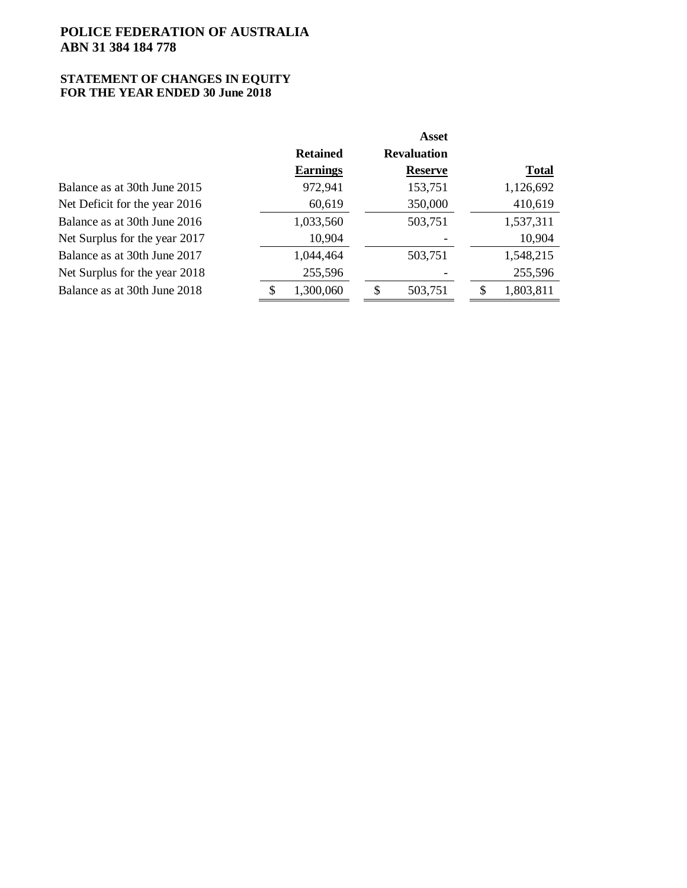### **STATEMENT OF CHANGES IN EQUITY FOR THE YEAR ENDED 30 June 2018**

|                               |                 |   | <b>Asset</b>       |              |
|-------------------------------|-----------------|---|--------------------|--------------|
|                               | <b>Retained</b> |   | <b>Revaluation</b> |              |
|                               | <b>Earnings</b> |   | <b>Reserve</b>     | <b>Total</b> |
| Balance as at 30th June 2015  | 972,941         |   | 153,751            | 1,126,692    |
| Net Deficit for the year 2016 | 60,619          |   | 350,000            | 410,619      |
| Balance as at 30th June 2016  | 1,033,560       |   | 503,751            | 1,537,311    |
| Net Surplus for the year 2017 | 10,904          |   |                    | 10,904       |
| Balance as at 30th June 2017  | 1,044,464       |   | 503,751            | 1,548,215    |
| Net Surplus for the year 2018 | 255,596         |   |                    | 255,596      |
| Balance as at 30th June 2018  | \$<br>1,300,060 | S | 503,751            | 1,803,811    |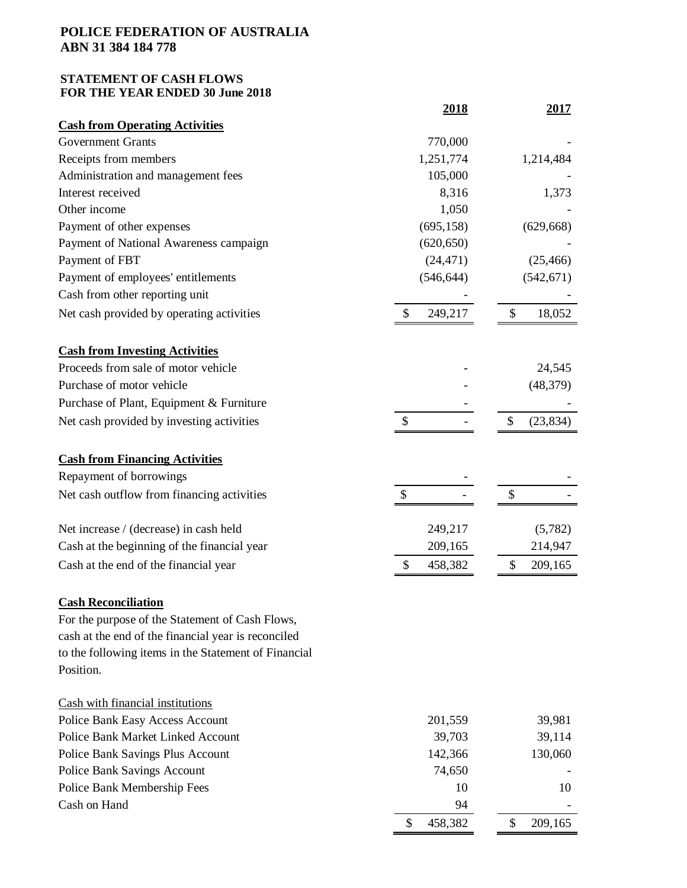## **STATEMENT OF CASH FLOWS FOR THE YEAR ENDED 30 June 2018**

|                                                      | <u>2018</u>   | <u>2017</u>     |
|------------------------------------------------------|---------------|-----------------|
| <b>Cash from Operating Activities</b>                |               |                 |
| <b>Government Grants</b>                             | 770,000       |                 |
| Receipts from members                                | 1,251,774     | 1,214,484       |
| Administration and management fees                   | 105,000       |                 |
| Interest received                                    | 8,316         | 1,373           |
| Other income                                         | 1,050         |                 |
| Payment of other expenses                            | (695, 158)    | (629, 668)      |
| Payment of National Awareness campaign               | (620, 650)    |                 |
| Payment of FBT                                       | (24, 471)     | (25, 466)       |
| Payment of employees' entitlements                   | (546, 644)    | (542, 671)      |
| Cash from other reporting unit                       |               |                 |
| Net cash provided by operating activities            | \$<br>249,217 | \$<br>18,052    |
| <b>Cash from Investing Activities</b>                |               |                 |
| Proceeds from sale of motor vehicle                  |               | 24,545          |
| Purchase of motor vehicle                            |               | (48, 379)       |
| Purchase of Plant, Equipment & Furniture             |               |                 |
| Net cash provided by investing activities            | \$            | \$<br>(23, 834) |
| <b>Cash from Financing Activities</b>                |               |                 |
| Repayment of borrowings                              |               |                 |
| Net cash outflow from financing activities           | \$            | \$              |
| Net increase / (decrease) in cash held               | 249,217       | (5,782)         |
| Cash at the beginning of the financial year          | 209,165       | 214,947         |
| Cash at the end of the financial year                | 458,382<br>\$ | 209,165<br>\$   |
| <b>Cash Reconciliation</b>                           |               |                 |
| For the purpose of the Statement of Cash Flows,      |               |                 |
| cash at the end of the financial year is reconciled  |               |                 |
| to the following items in the Statement of Financial |               |                 |
| Position.                                            |               |                 |
| Cash with financial institutions                     |               |                 |
| Police Bank Easy Access Account                      | 201,559       | 39,981          |
| Police Bank Market Linked Account                    | 39,703        | 39,114          |
| <b>Police Bank Savings Plus Account</b>              | 142,366       | 130,060         |
| <b>Police Bank Savings Account</b>                   | 74,650        |                 |
| Police Bank Membership Fees                          | 10            | 10              |
| Cash on Hand                                         | 94            |                 |
|                                                      | 458,382<br>\$ | \$<br>209,165   |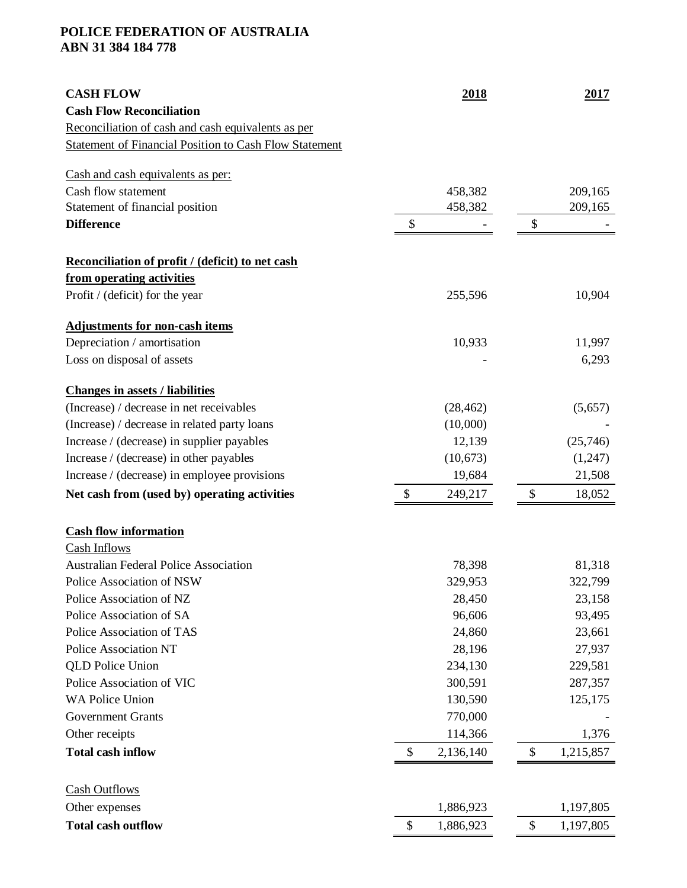| <b>CASH FLOW</b>                                              | 2018                                 | 2017            |
|---------------------------------------------------------------|--------------------------------------|-----------------|
| <b>Cash Flow Reconciliation</b>                               |                                      |                 |
| Reconciliation of cash and cash equivalents as per            |                                      |                 |
| <b>Statement of Financial Position to Cash Flow Statement</b> |                                      |                 |
| Cash and cash equivalents as per:                             |                                      |                 |
| Cash flow statement                                           | 458,382                              | 209,165         |
| Statement of financial position                               | 458,382                              | 209,165         |
| <b>Difference</b>                                             | \$                                   | \$              |
| Reconciliation of profit / (deficit) to net cash              |                                      |                 |
| from operating activities                                     |                                      |                 |
| Profit / (deficit) for the year                               | 255,596                              | 10,904          |
| <b>Adjustments for non-cash items</b>                         |                                      |                 |
| Depreciation / amortisation                                   | 10,933                               | 11,997          |
| Loss on disposal of assets                                    |                                      | 6,293           |
| <b>Changes in assets / liabilities</b>                        |                                      |                 |
| (Increase) / decrease in net receivables                      | (28, 462)                            | (5,657)         |
| (Increase) / decrease in related party loans                  | (10,000)                             |                 |
| Increase / (decrease) in supplier payables                    | 12,139                               | (25,746)        |
| Increase / (decrease) in other payables                       | (10,673)                             | (1,247)         |
| Increase / (decrease) in employee provisions                  | 19,684                               | 21,508          |
| Net cash from (used by) operating activities                  | $\boldsymbol{\mathsf{S}}$<br>249,217 | \$<br>18,052    |
| <b>Cash flow information</b>                                  |                                      |                 |
| Cash Inflows                                                  |                                      |                 |
| <b>Australian Federal Police Association</b>                  | 78,398                               | 81,318          |
| Police Association of NSW                                     | 329,953                              | 322,799         |
| Police Association of NZ                                      | 28,450                               | 23,158          |
| Police Association of SA                                      | 96,606                               | 93,495          |
| Police Association of TAS                                     | 24,860                               | 23,661          |
| <b>Police Association NT</b>                                  | 28,196                               | 27,937          |
| <b>QLD</b> Police Union                                       | 234,130                              | 229,581         |
| Police Association of VIC                                     | 300,591                              | 287,357         |
| <b>WA Police Union</b>                                        | 130,590                              | 125,175         |
| <b>Government Grants</b>                                      | 770,000                              |                 |
| Other receipts                                                | 114,366                              | 1,376           |
| <b>Total cash inflow</b>                                      | \$<br>2,136,140                      | \$<br>1,215,857 |
| <b>Cash Outflows</b>                                          |                                      |                 |
| Other expenses                                                | 1,886,923                            | 1,197,805       |
| <b>Total cash outflow</b>                                     | \$<br>1,886,923                      | \$<br>1,197,805 |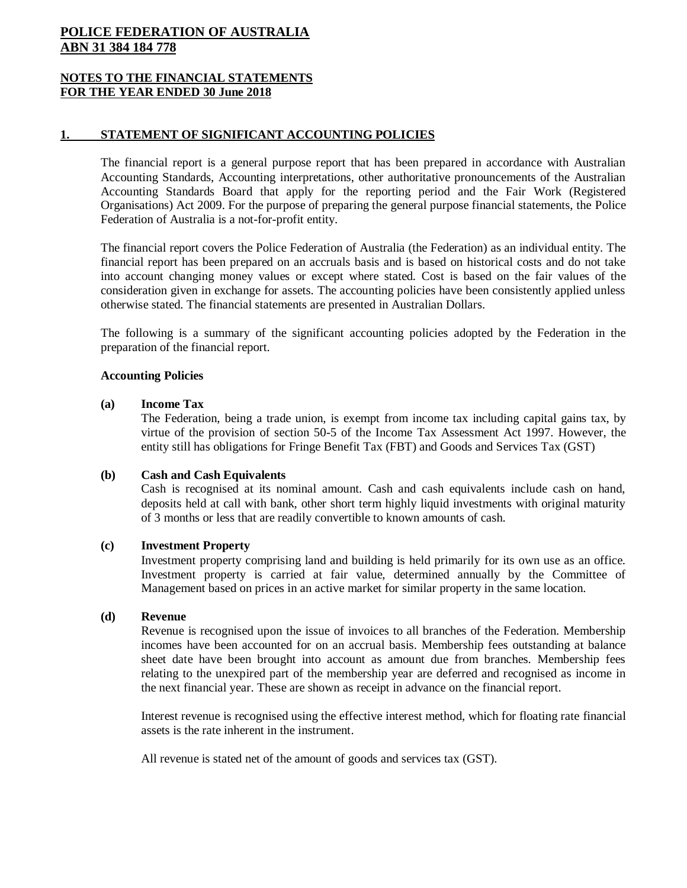## **NOTES TO THE FINANCIAL STATEMENTS FOR THE YEAR ENDED 30 June 2018**

## **1. STATEMENT OF SIGNIFICANT ACCOUNTING POLICIES**

The financial report is a general purpose report that has been prepared in accordance with Australian Accounting Standards, Accounting interpretations, other authoritative pronouncements of the Australian Accounting Standards Board that apply for the reporting period and the Fair Work (Registered Organisations) Act 2009. For the purpose of preparing the general purpose financial statements, the Police Federation of Australia is a not-for-profit entity.

The financial report covers the Police Federation of Australia (the Federation) as an individual entity. The financial report has been prepared on an accruals basis and is based on historical costs and do not take into account changing money values or except where stated. Cost is based on the fair values of the consideration given in exchange for assets. The accounting policies have been consistently applied unless otherwise stated. The financial statements are presented in Australian Dollars.

The following is a summary of the significant accounting policies adopted by the Federation in the preparation of the financial report.

## **Accounting Policies**

### **(a) Income Tax**

The Federation, being a trade union, is exempt from income tax including capital gains tax, by virtue of the provision of section 50-5 of the Income Tax Assessment Act 1997. However, the entity still has obligations for Fringe Benefit Tax (FBT) and Goods and Services Tax (GST)

## **(b) Cash and Cash Equivalents**

Cash is recognised at its nominal amount. Cash and cash equivalents include cash on hand, deposits held at call with bank, other short term highly liquid investments with original maturity of 3 months or less that are readily convertible to known amounts of cash.

## **(c) Investment Property**

Investment property comprising land and building is held primarily for its own use as an office. Investment property is carried at fair value, determined annually by the Committee of Management based on prices in an active market for similar property in the same location.

## **(d) Revenue**

Revenue is recognised upon the issue of invoices to all branches of the Federation. Membership incomes have been accounted for on an accrual basis. Membership fees outstanding at balance sheet date have been brought into account as amount due from branches. Membership fees relating to the unexpired part of the membership year are deferred and recognised as income in the next financial year. These are shown as receipt in advance on the financial report.

Interest revenue is recognised using the effective interest method, which for floating rate financial assets is the rate inherent in the instrument.

All revenue is stated net of the amount of goods and services tax (GST).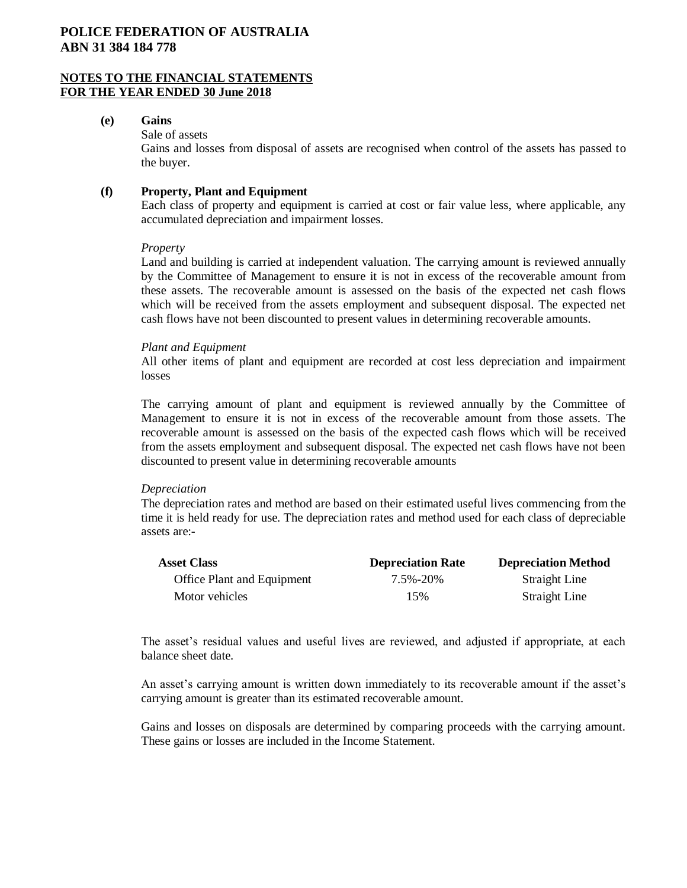## **NOTES TO THE FINANCIAL STATEMENTS FOR THE YEAR ENDED 30 June 2018**

### **(e) Gains**

Sale of assets Gains and losses from disposal of assets are recognised when control of the assets has passed to the buyer.

## **(f) Property, Plant and Equipment**

Each class of property and equipment is carried at cost or fair value less, where applicable, any accumulated depreciation and impairment losses.

### *Property*

Land and building is carried at independent valuation. The carrying amount is reviewed annually by the Committee of Management to ensure it is not in excess of the recoverable amount from these assets. The recoverable amount is assessed on the basis of the expected net cash flows which will be received from the assets employment and subsequent disposal. The expected net cash flows have not been discounted to present values in determining recoverable amounts.

## *Plant and Equipment*

All other items of plant and equipment are recorded at cost less depreciation and impairment losses

The carrying amount of plant and equipment is reviewed annually by the Committee of Management to ensure it is not in excess of the recoverable amount from those assets. The recoverable amount is assessed on the basis of the expected cash flows which will be received from the assets employment and subsequent disposal. The expected net cash flows have not been discounted to present value in determining recoverable amounts

## *Depreciation*

The depreciation rates and method are based on their estimated useful lives commencing from the time it is held ready for use. The depreciation rates and method used for each class of depreciable assets are:-

| <b>Asset Class</b>         | <b>Depreciation Rate</b> | <b>Depreciation Method</b> |
|----------------------------|--------------------------|----------------------------|
| Office Plant and Equipment | 7.5%-20%                 | Straight Line              |
| Motor vehicles             | 15%                      | Straight Line              |

The asset's residual values and useful lives are reviewed, and adjusted if appropriate, at each balance sheet date.

An asset's carrying amount is written down immediately to its recoverable amount if the asset's carrying amount is greater than its estimated recoverable amount.

Gains and losses on disposals are determined by comparing proceeds with the carrying amount. These gains or losses are included in the Income Statement.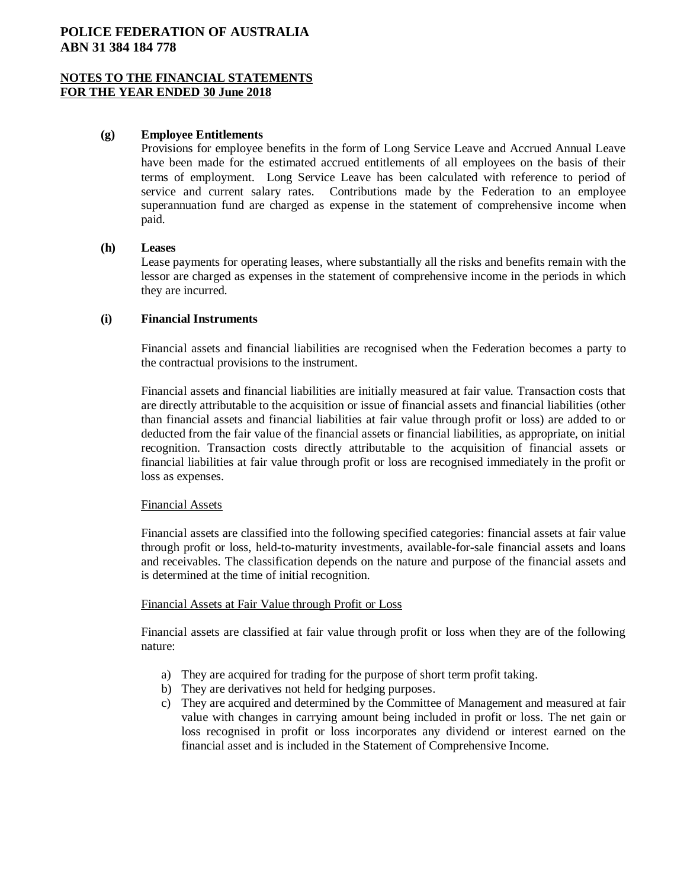## **NOTES TO THE FINANCIAL STATEMENTS FOR THE YEAR ENDED 30 June 2018**

### **(g) Employee Entitlements**

Provisions for employee benefits in the form of Long Service Leave and Accrued Annual Leave have been made for the estimated accrued entitlements of all employees on the basis of their terms of employment. Long Service Leave has been calculated with reference to period of service and current salary rates. Contributions made by the Federation to an employee superannuation fund are charged as expense in the statement of comprehensive income when paid.

#### **(h) Leases**

Lease payments for operating leases, where substantially all the risks and benefits remain with the lessor are charged as expenses in the statement of comprehensive income in the periods in which they are incurred.

### **(i) Financial Instruments**

Financial assets and financial liabilities are recognised when the Federation becomes a party to the contractual provisions to the instrument.

Financial assets and financial liabilities are initially measured at fair value. Transaction costs that are directly attributable to the acquisition or issue of financial assets and financial liabilities (other than financial assets and financial liabilities at fair value through profit or loss) are added to or deducted from the fair value of the financial assets or financial liabilities, as appropriate, on initial recognition. Transaction costs directly attributable to the acquisition of financial assets or financial liabilities at fair value through profit or loss are recognised immediately in the profit or loss as expenses.

### Financial Assets

Financial assets are classified into the following specified categories: financial assets at fair value through profit or loss, held-to-maturity investments, available-for-sale financial assets and loans and receivables. The classification depends on the nature and purpose of the financial assets and is determined at the time of initial recognition.

#### Financial Assets at Fair Value through Profit or Loss

Financial assets are classified at fair value through profit or loss when they are of the following nature:

- a) They are acquired for trading for the purpose of short term profit taking.
- b) They are derivatives not held for hedging purposes.
- c) They are acquired and determined by the Committee of Management and measured at fair value with changes in carrying amount being included in profit or loss. The net gain or loss recognised in profit or loss incorporates any dividend or interest earned on the financial asset and is included in the Statement of Comprehensive Income.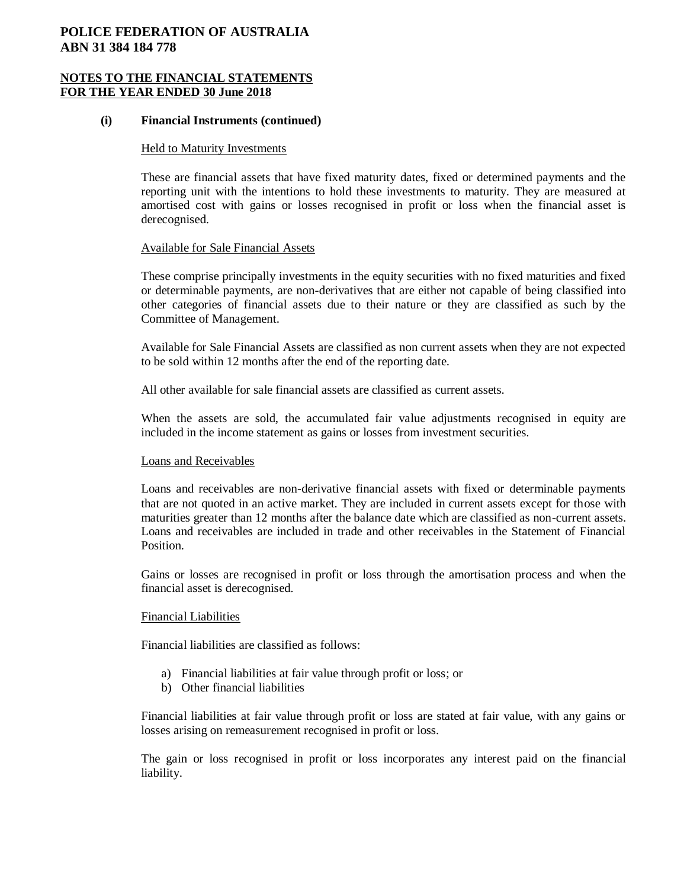### **NOTES TO THE FINANCIAL STATEMENTS FOR THE YEAR ENDED 30 June 2018**

#### **(i) Financial Instruments (continued)**

#### Held to Maturity Investments

These are financial assets that have fixed maturity dates, fixed or determined payments and the reporting unit with the intentions to hold these investments to maturity. They are measured at amortised cost with gains or losses recognised in profit or loss when the financial asset is derecognised.

#### Available for Sale Financial Assets

These comprise principally investments in the equity securities with no fixed maturities and fixed or determinable payments, are non-derivatives that are either not capable of being classified into other categories of financial assets due to their nature or they are classified as such by the Committee of Management.

Available for Sale Financial Assets are classified as non current assets when they are not expected to be sold within 12 months after the end of the reporting date.

All other available for sale financial assets are classified as current assets.

When the assets are sold, the accumulated fair value adjustments recognised in equity are included in the income statement as gains or losses from investment securities.

#### Loans and Receivables

Loans and receivables are non-derivative financial assets with fixed or determinable payments that are not quoted in an active market. They are included in current assets except for those with maturities greater than 12 months after the balance date which are classified as non-current assets. Loans and receivables are included in trade and other receivables in the Statement of Financial **Position** 

Gains or losses are recognised in profit or loss through the amortisation process and when the financial asset is derecognised.

### Financial Liabilities

Financial liabilities are classified as follows:

- a) Financial liabilities at fair value through profit or loss; or
- b) Other financial liabilities

Financial liabilities at fair value through profit or loss are stated at fair value, with any gains or losses arising on remeasurement recognised in profit or loss.

The gain or loss recognised in profit or loss incorporates any interest paid on the financial liability.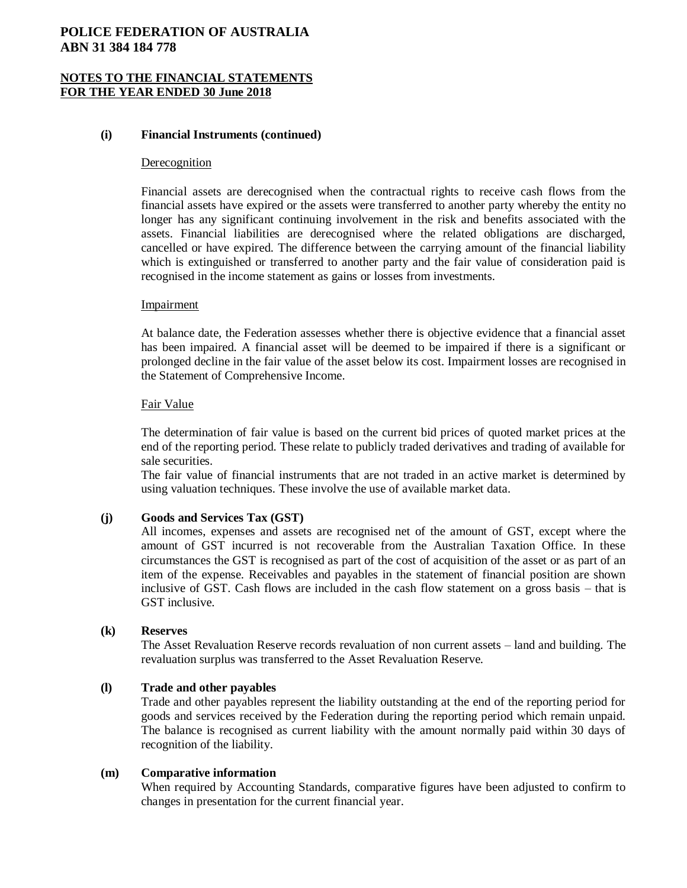## **NOTES TO THE FINANCIAL STATEMENTS FOR THE YEAR ENDED 30 June 2018**

### **(i) Financial Instruments (continued)**

#### Derecognition

Financial assets are derecognised when the contractual rights to receive cash flows from the financial assets have expired or the assets were transferred to another party whereby the entity no longer has any significant continuing involvement in the risk and benefits associated with the assets. Financial liabilities are derecognised where the related obligations are discharged, cancelled or have expired. The difference between the carrying amount of the financial liability which is extinguished or transferred to another party and the fair value of consideration paid is recognised in the income statement as gains or losses from investments.

#### Impairment

At balance date, the Federation assesses whether there is objective evidence that a financial asset has been impaired. A financial asset will be deemed to be impaired if there is a significant or prolonged decline in the fair value of the asset below its cost. Impairment losses are recognised in the Statement of Comprehensive Income.

#### Fair Value

The determination of fair value is based on the current bid prices of quoted market prices at the end of the reporting period. These relate to publicly traded derivatives and trading of available for sale securities.

The fair value of financial instruments that are not traded in an active market is determined by using valuation techniques. These involve the use of available market data.

## **(j) Goods and Services Tax (GST)**

All incomes, expenses and assets are recognised net of the amount of GST, except where the amount of GST incurred is not recoverable from the Australian Taxation Office. In these circumstances the GST is recognised as part of the cost of acquisition of the asset or as part of an item of the expense. Receivables and payables in the statement of financial position are shown inclusive of GST. Cash flows are included in the cash flow statement on a gross basis – that is GST inclusive.

#### **(k) Reserves**

The Asset Revaluation Reserve records revaluation of non current assets – land and building. The revaluation surplus was transferred to the Asset Revaluation Reserve.

#### **(l) Trade and other payables**

Trade and other payables represent the liability outstanding at the end of the reporting period for goods and services received by the Federation during the reporting period which remain unpaid. The balance is recognised as current liability with the amount normally paid within 30 days of recognition of the liability.

#### **(m) Comparative information**

When required by Accounting Standards, comparative figures have been adjusted to confirm to changes in presentation for the current financial year.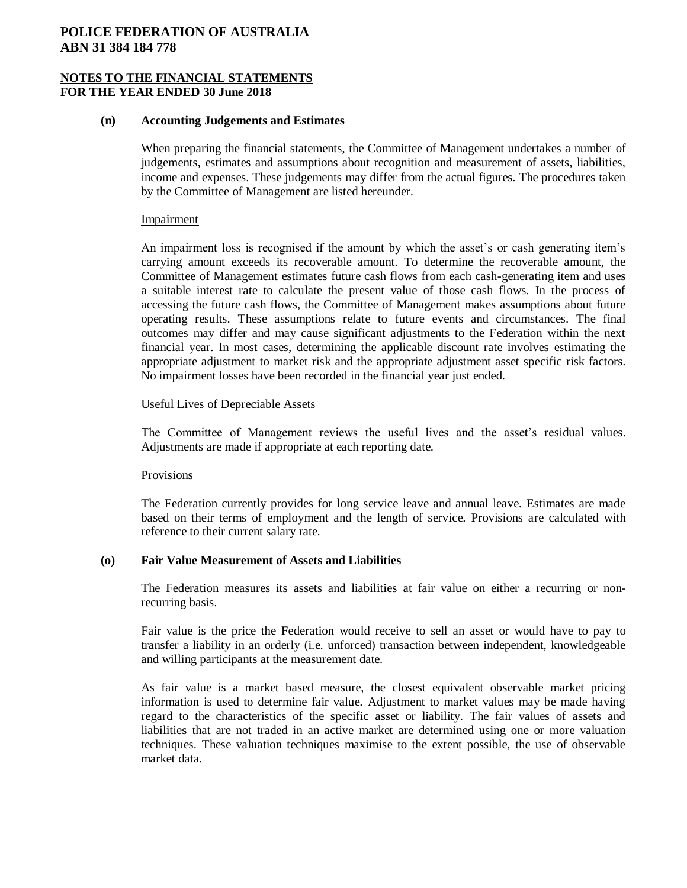### **NOTES TO THE FINANCIAL STATEMENTS FOR THE YEAR ENDED 30 June 2018**

#### **(n) Accounting Judgements and Estimates**

When preparing the financial statements, the Committee of Management undertakes a number of judgements, estimates and assumptions about recognition and measurement of assets, liabilities, income and expenses. These judgements may differ from the actual figures. The procedures taken by the Committee of Management are listed hereunder.

#### Impairment

An impairment loss is recognised if the amount by which the asset's or cash generating item's carrying amount exceeds its recoverable amount. To determine the recoverable amount, the Committee of Management estimates future cash flows from each cash-generating item and uses a suitable interest rate to calculate the present value of those cash flows. In the process of accessing the future cash flows, the Committee of Management makes assumptions about future operating results. These assumptions relate to future events and circumstances. The final outcomes may differ and may cause significant adjustments to the Federation within the next financial year. In most cases, determining the applicable discount rate involves estimating the appropriate adjustment to market risk and the appropriate adjustment asset specific risk factors. No impairment losses have been recorded in the financial year just ended.

### Useful Lives of Depreciable Assets

The Committee of Management reviews the useful lives and the asset's residual values. Adjustments are made if appropriate at each reporting date.

#### **Provisions**

The Federation currently provides for long service leave and annual leave. Estimates are made based on their terms of employment and the length of service. Provisions are calculated with reference to their current salary rate.

### **(o) Fair Value Measurement of Assets and Liabilities**

The Federation measures its assets and liabilities at fair value on either a recurring or nonrecurring basis.

Fair value is the price the Federation would receive to sell an asset or would have to pay to transfer a liability in an orderly (i.e. unforced) transaction between independent, knowledgeable and willing participants at the measurement date.

As fair value is a market based measure, the closest equivalent observable market pricing information is used to determine fair value. Adjustment to market values may be made having regard to the characteristics of the specific asset or liability. The fair values of assets and liabilities that are not traded in an active market are determined using one or more valuation techniques. These valuation techniques maximise to the extent possible, the use of observable market data.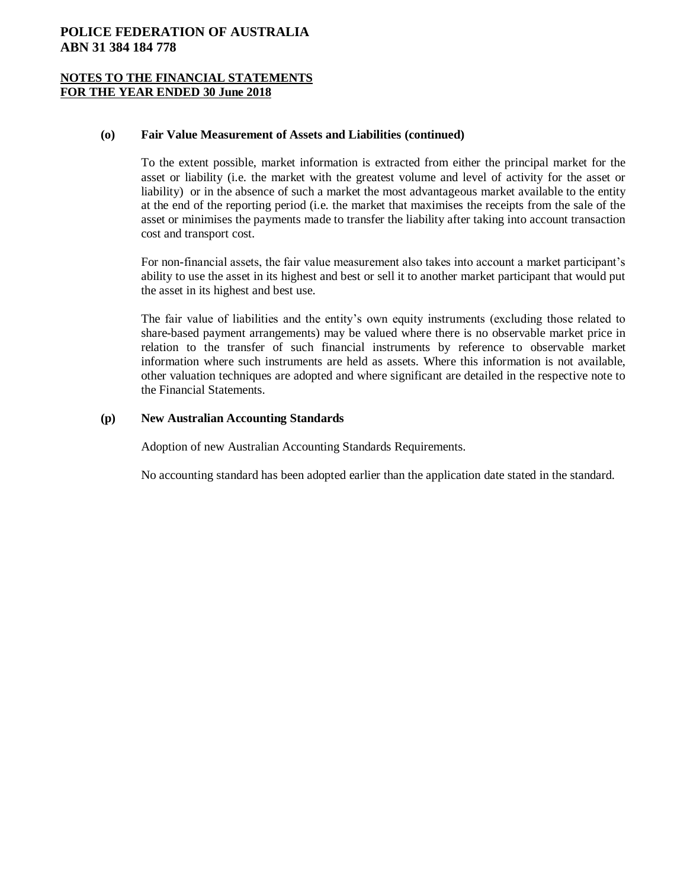## **NOTES TO THE FINANCIAL STATEMENTS FOR THE YEAR ENDED 30 June 2018**

### **(o) Fair Value Measurement of Assets and Liabilities (continued)**

To the extent possible, market information is extracted from either the principal market for the asset or liability (i.e. the market with the greatest volume and level of activity for the asset or liability) or in the absence of such a market the most advantageous market available to the entity at the end of the reporting period (i.e. the market that maximises the receipts from the sale of the asset or minimises the payments made to transfer the liability after taking into account transaction cost and transport cost.

For non-financial assets, the fair value measurement also takes into account a market participant's ability to use the asset in its highest and best or sell it to another market participant that would put the asset in its highest and best use.

The fair value of liabilities and the entity's own equity instruments (excluding those related to share-based payment arrangements) may be valued where there is no observable market price in relation to the transfer of such financial instruments by reference to observable market information where such instruments are held as assets. Where this information is not available, other valuation techniques are adopted and where significant are detailed in the respective note to the Financial Statements.

## **(p) New Australian Accounting Standards**

Adoption of new Australian Accounting Standards Requirements.

No accounting standard has been adopted earlier than the application date stated in the standard.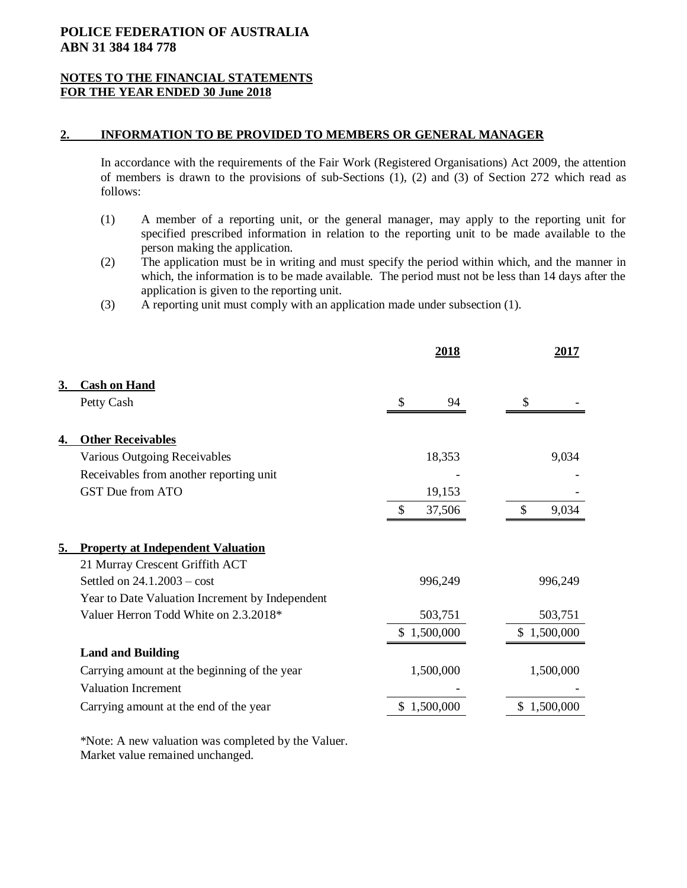## **NOTES TO THE FINANCIAL STATEMENTS FOR THE YEAR ENDED 30 June 2018**

### **2. INFORMATION TO BE PROVIDED TO MEMBERS OR GENERAL MANAGER**

In accordance with the requirements of the Fair Work (Registered Organisations) Act 2009, the attention of members is drawn to the provisions of sub-Sections (1), (2) and (3) of Section 272 which read as follows:

- (1) A member of a reporting unit, or the general manager, may apply to the reporting unit for specified prescribed information in relation to the reporting unit to be made available to the person making the application.
- (2) The application must be in writing and must specify the period within which, and the manner in which, the information is to be made available. The period must not be less than 14 days after the application is given to the reporting unit.
- (3) A reporting unit must comply with an application made under subsection (1).

|           |                                                 | <u>2018</u>  | 2017        |
|-----------|-------------------------------------------------|--------------|-------------|
| 3.        | <b>Cash on Hand</b>                             |              |             |
|           | Petty Cash                                      | S<br>94      |             |
| <u>4.</u> | <b>Other Receivables</b>                        |              |             |
|           | Various Outgoing Receivables                    | 18,353       | 9,034       |
|           | Receivables from another reporting unit         |              |             |
|           | <b>GST Due from ATO</b>                         | 19,153       |             |
|           |                                                 | 37,506<br>\$ | \$<br>9,034 |
| 5.        | <b>Property at Independent Valuation</b>        |              |             |
|           | 21 Murray Crescent Griffith ACT                 |              |             |
|           | Settled on $24.1.2003 - cost$                   | 996,249      | 996,249     |
|           | Year to Date Valuation Increment by Independent |              |             |
|           | Valuer Herron Todd White on 2.3.2018*           | 503,751      | 503,751     |
|           |                                                 | \$1,500,000  | \$1,500,000 |
|           | <b>Land and Building</b>                        |              |             |
|           | Carrying amount at the beginning of the year    | 1,500,000    | 1,500,000   |
|           | <b>Valuation Increment</b>                      |              |             |
|           | Carrying amount at the end of the year          | \$1,500,000  | \$1,500,000 |
|           |                                                 |              |             |

 \*Note: A new valuation was completed by the Valuer. Market value remained unchanged.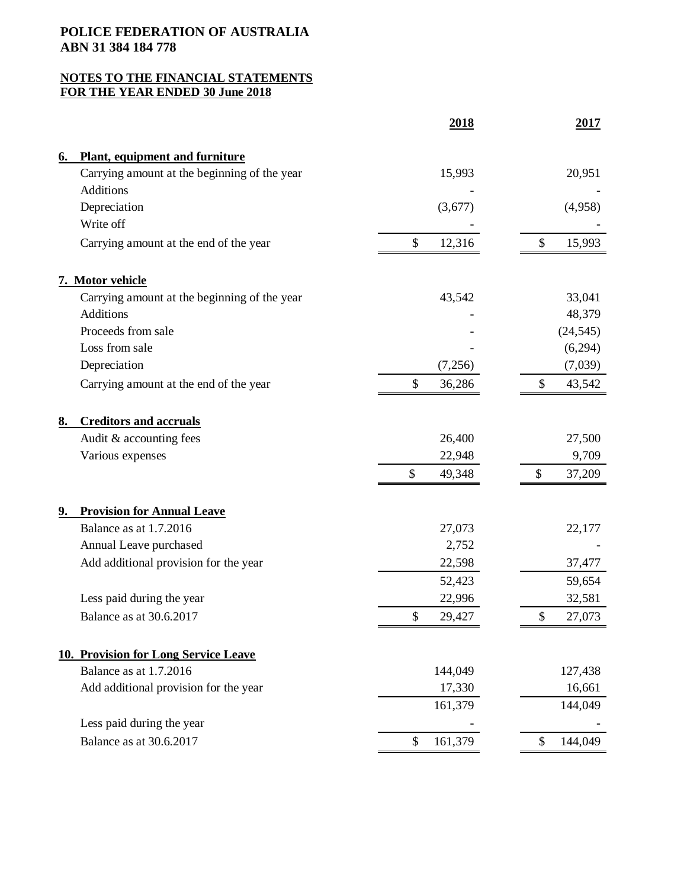|    |                                              | 2018          | 2017          |
|----|----------------------------------------------|---------------|---------------|
| 6. | <b>Plant, equipment and furniture</b>        |               |               |
|    | Carrying amount at the beginning of the year | 15,993        | 20,951        |
|    | <b>Additions</b>                             |               |               |
|    | Depreciation                                 | (3,677)       | (4,958)       |
|    | Write off                                    |               |               |
|    | Carrying amount at the end of the year       | \$<br>12,316  | \$<br>15,993  |
|    | 7. Motor vehicle                             |               |               |
|    | Carrying amount at the beginning of the year | 43,542        | 33,041        |
|    | Additions                                    |               | 48,379        |
|    | Proceeds from sale                           |               | (24, 545)     |
|    | Loss from sale                               |               | (6,294)       |
|    | Depreciation                                 | (7,256)       | (7,039)       |
|    | Carrying amount at the end of the year       | \$<br>36,286  | 43,542<br>\$  |
| 8. | <b>Creditors and accruals</b>                |               |               |
|    | Audit & accounting fees                      | 26,400        | 27,500        |
|    | Various expenses                             | 22,948        | 9,709         |
|    |                                              | 49,348<br>\$  | 37,209<br>\$  |
| 9. | <b>Provision for Annual Leave</b>            |               |               |
|    | Balance as at 1.7.2016                       | 27,073        | 22,177        |
|    | Annual Leave purchased                       | 2,752         |               |
|    | Add additional provision for the year        | 22,598        | 37,477        |
|    |                                              | 52,423        | 59,654        |
|    | Less paid during the year                    | 22,996        | 32,581        |
|    | Balance as at 30.6.2017                      | \$<br>29,427  | \$<br>27,073  |
|    | <b>10. Provision for Long Service Leave</b>  |               |               |
|    | Balance as at 1.7.2016                       | 144,049       | 127,438       |
|    | Add additional provision for the year        | 17,330        | 16,661        |
|    |                                              | 161,379       | 144,049       |
|    | Less paid during the year                    |               |               |
|    | Balance as at 30.6.2017                      | \$<br>161,379 | \$<br>144,049 |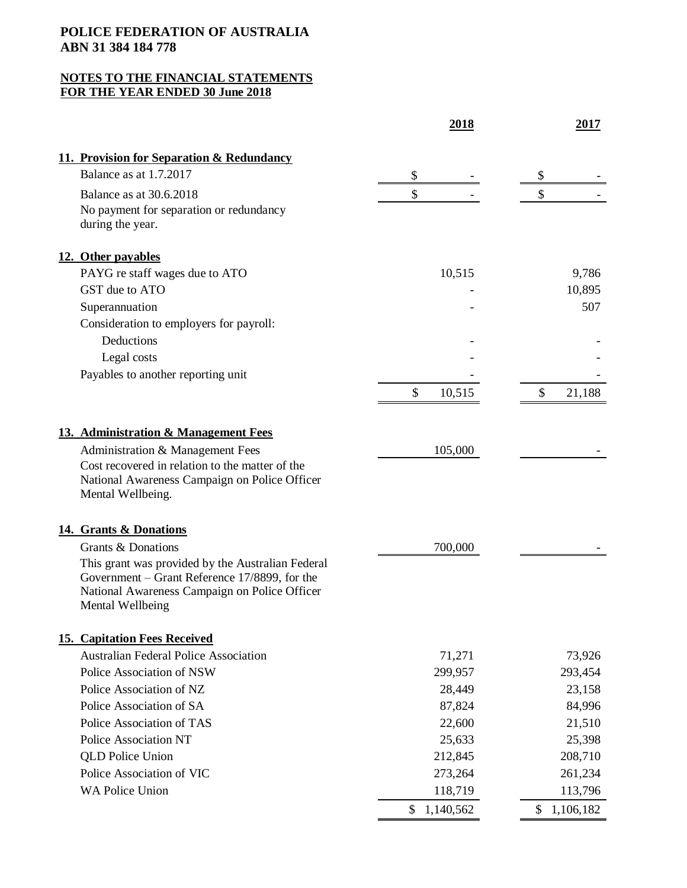|                                                                                                                                                                         | 2018         | 2017         |
|-------------------------------------------------------------------------------------------------------------------------------------------------------------------------|--------------|--------------|
| 11. Provision for Separation & Redundancy                                                                                                                               |              |              |
| Balance as at 1.7.2017                                                                                                                                                  | \$           | \$           |
| Balance as at 30.6.2018                                                                                                                                                 | \$           | \$           |
| No payment for separation or redundancy<br>during the year.                                                                                                             |              |              |
| 12. Other payables                                                                                                                                                      |              |              |
| PAYG re staff wages due to ATO                                                                                                                                          | 10,515       | 9,786        |
| GST due to ATO                                                                                                                                                          |              | 10,895       |
| Superannuation                                                                                                                                                          |              | 507          |
| Consideration to employers for payroll:                                                                                                                                 |              |              |
| Deductions                                                                                                                                                              |              |              |
| Legal costs                                                                                                                                                             |              |              |
| Payables to another reporting unit                                                                                                                                      |              |              |
|                                                                                                                                                                         | \$<br>10,515 | \$<br>21,188 |
| 13. Administration & Management Fees                                                                                                                                    |              |              |
| Administration & Management Fees                                                                                                                                        | 105,000      |              |
| Cost recovered in relation to the matter of the<br>National Awareness Campaign on Police Officer<br>Mental Wellbeing.                                                   |              |              |
| 14. Grants & Donations                                                                                                                                                  |              |              |
| Grants & Donations                                                                                                                                                      | 700,000      |              |
| This grant was provided by the Australian Federal<br>Government – Grant Reference 17/8899, for the<br>National Awareness Campaign on Police Officer<br>Mental Wellbeing |              |              |
| <b>15. Capitation Fees Received</b>                                                                                                                                     |              |              |
| <b>Australian Federal Police Association</b>                                                                                                                            | 71,271       | 73,926       |
| Police Association of NSW                                                                                                                                               | 299,957      | 293,454      |
| Police Association of NZ                                                                                                                                                | 28,449       | 23,158       |
| Police Association of SA                                                                                                                                                | 87,824       | 84,996       |
| Police Association of TAS                                                                                                                                               | 22,600       | 21,510       |
| <b>Police Association NT</b>                                                                                                                                            | 25,633       | 25,398       |
| <b>QLD</b> Police Union                                                                                                                                                 | 212,845      | 208,710      |
| Police Association of VIC                                                                                                                                               | 273,264      | 261,234      |
| <b>WA Police Union</b>                                                                                                                                                  | 118,719      | 113,796      |
|                                                                                                                                                                         | \$1,140,562  | \$1,106,182  |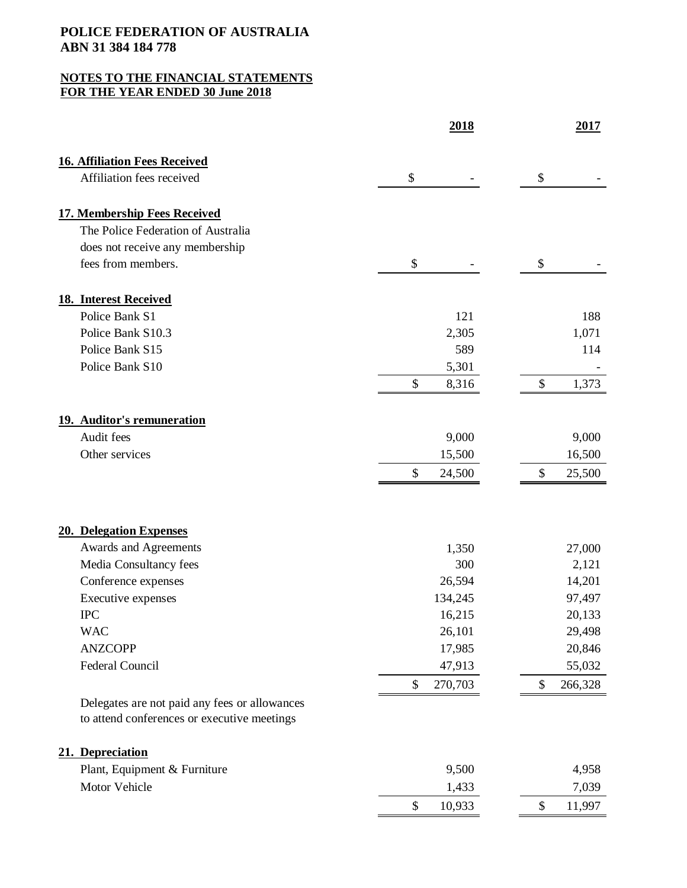| <b>16. Affiliation Fees Received</b><br>Affiliation fees received<br>\$<br>\$<br><b>17. Membership Fees Received</b><br>The Police Federation of Australia<br>does not receive any membership<br>\$<br>fees from members.<br>\$<br><b>18. Interest Received</b><br>Police Bank S1<br>121<br>188<br>Police Bank S10.3<br>2,305<br>1,071<br>Police Bank S15<br>589<br>114<br>Police Bank S10<br>5,301<br>\$<br>8,316<br>\$<br>1,373<br>19. Auditor's remuneration<br>Audit fees<br>9,000<br>9,000<br>15,500<br>16,500<br>Other services<br>\$<br>\$<br>24,500<br>25,500<br>20. Delegation Expenses<br>Awards and Agreements<br>27,000<br>1,350<br>Media Consultancy fees<br>300<br>2,121<br>26,594<br>Conference expenses<br>14,201<br>134,245<br>97,497<br>Executive expenses<br><b>IPC</b><br>16,215<br>20,133<br><b>WAC</b><br>29,498<br>26,101<br><b>ANZCOPP</b><br>17,985<br>20,846<br>Federal Council<br>47,913<br>55,032<br>270,703<br>\$<br>\$<br>Delegates are not paid any fees or allowances<br>to attend conferences or executive meetings<br>21. Depreciation<br>Plant, Equipment & Furniture<br>9,500<br>4,958<br>Motor Vehicle<br>1,433<br>7,039<br>$\boldsymbol{\mathsf{S}}$<br>\$ | 2018   | 2017    |
|--------------------------------------------------------------------------------------------------------------------------------------------------------------------------------------------------------------------------------------------------------------------------------------------------------------------------------------------------------------------------------------------------------------------------------------------------------------------------------------------------------------------------------------------------------------------------------------------------------------------------------------------------------------------------------------------------------------------------------------------------------------------------------------------------------------------------------------------------------------------------------------------------------------------------------------------------------------------------------------------------------------------------------------------------------------------------------------------------------------------------------------------------------------------------------------------------|--------|---------|
|                                                                                                                                                                                                                                                                                                                                                                                                                                                                                                                                                                                                                                                                                                                                                                                                                                                                                                                                                                                                                                                                                                                                                                                                  |        |         |
|                                                                                                                                                                                                                                                                                                                                                                                                                                                                                                                                                                                                                                                                                                                                                                                                                                                                                                                                                                                                                                                                                                                                                                                                  |        |         |
|                                                                                                                                                                                                                                                                                                                                                                                                                                                                                                                                                                                                                                                                                                                                                                                                                                                                                                                                                                                                                                                                                                                                                                                                  |        |         |
|                                                                                                                                                                                                                                                                                                                                                                                                                                                                                                                                                                                                                                                                                                                                                                                                                                                                                                                                                                                                                                                                                                                                                                                                  |        |         |
|                                                                                                                                                                                                                                                                                                                                                                                                                                                                                                                                                                                                                                                                                                                                                                                                                                                                                                                                                                                                                                                                                                                                                                                                  |        |         |
|                                                                                                                                                                                                                                                                                                                                                                                                                                                                                                                                                                                                                                                                                                                                                                                                                                                                                                                                                                                                                                                                                                                                                                                                  |        |         |
|                                                                                                                                                                                                                                                                                                                                                                                                                                                                                                                                                                                                                                                                                                                                                                                                                                                                                                                                                                                                                                                                                                                                                                                                  |        |         |
|                                                                                                                                                                                                                                                                                                                                                                                                                                                                                                                                                                                                                                                                                                                                                                                                                                                                                                                                                                                                                                                                                                                                                                                                  |        |         |
|                                                                                                                                                                                                                                                                                                                                                                                                                                                                                                                                                                                                                                                                                                                                                                                                                                                                                                                                                                                                                                                                                                                                                                                                  |        |         |
|                                                                                                                                                                                                                                                                                                                                                                                                                                                                                                                                                                                                                                                                                                                                                                                                                                                                                                                                                                                                                                                                                                                                                                                                  |        |         |
|                                                                                                                                                                                                                                                                                                                                                                                                                                                                                                                                                                                                                                                                                                                                                                                                                                                                                                                                                                                                                                                                                                                                                                                                  |        |         |
|                                                                                                                                                                                                                                                                                                                                                                                                                                                                                                                                                                                                                                                                                                                                                                                                                                                                                                                                                                                                                                                                                                                                                                                                  |        |         |
|                                                                                                                                                                                                                                                                                                                                                                                                                                                                                                                                                                                                                                                                                                                                                                                                                                                                                                                                                                                                                                                                                                                                                                                                  |        |         |
|                                                                                                                                                                                                                                                                                                                                                                                                                                                                                                                                                                                                                                                                                                                                                                                                                                                                                                                                                                                                                                                                                                                                                                                                  |        |         |
|                                                                                                                                                                                                                                                                                                                                                                                                                                                                                                                                                                                                                                                                                                                                                                                                                                                                                                                                                                                                                                                                                                                                                                                                  |        |         |
|                                                                                                                                                                                                                                                                                                                                                                                                                                                                                                                                                                                                                                                                                                                                                                                                                                                                                                                                                                                                                                                                                                                                                                                                  |        |         |
|                                                                                                                                                                                                                                                                                                                                                                                                                                                                                                                                                                                                                                                                                                                                                                                                                                                                                                                                                                                                                                                                                                                                                                                                  |        |         |
|                                                                                                                                                                                                                                                                                                                                                                                                                                                                                                                                                                                                                                                                                                                                                                                                                                                                                                                                                                                                                                                                                                                                                                                                  |        |         |
|                                                                                                                                                                                                                                                                                                                                                                                                                                                                                                                                                                                                                                                                                                                                                                                                                                                                                                                                                                                                                                                                                                                                                                                                  |        |         |
|                                                                                                                                                                                                                                                                                                                                                                                                                                                                                                                                                                                                                                                                                                                                                                                                                                                                                                                                                                                                                                                                                                                                                                                                  |        |         |
|                                                                                                                                                                                                                                                                                                                                                                                                                                                                                                                                                                                                                                                                                                                                                                                                                                                                                                                                                                                                                                                                                                                                                                                                  |        |         |
|                                                                                                                                                                                                                                                                                                                                                                                                                                                                                                                                                                                                                                                                                                                                                                                                                                                                                                                                                                                                                                                                                                                                                                                                  |        |         |
|                                                                                                                                                                                                                                                                                                                                                                                                                                                                                                                                                                                                                                                                                                                                                                                                                                                                                                                                                                                                                                                                                                                                                                                                  |        |         |
|                                                                                                                                                                                                                                                                                                                                                                                                                                                                                                                                                                                                                                                                                                                                                                                                                                                                                                                                                                                                                                                                                                                                                                                                  |        |         |
|                                                                                                                                                                                                                                                                                                                                                                                                                                                                                                                                                                                                                                                                                                                                                                                                                                                                                                                                                                                                                                                                                                                                                                                                  |        |         |
|                                                                                                                                                                                                                                                                                                                                                                                                                                                                                                                                                                                                                                                                                                                                                                                                                                                                                                                                                                                                                                                                                                                                                                                                  |        |         |
|                                                                                                                                                                                                                                                                                                                                                                                                                                                                                                                                                                                                                                                                                                                                                                                                                                                                                                                                                                                                                                                                                                                                                                                                  |        | 266,328 |
|                                                                                                                                                                                                                                                                                                                                                                                                                                                                                                                                                                                                                                                                                                                                                                                                                                                                                                                                                                                                                                                                                                                                                                                                  |        |         |
|                                                                                                                                                                                                                                                                                                                                                                                                                                                                                                                                                                                                                                                                                                                                                                                                                                                                                                                                                                                                                                                                                                                                                                                                  |        |         |
|                                                                                                                                                                                                                                                                                                                                                                                                                                                                                                                                                                                                                                                                                                                                                                                                                                                                                                                                                                                                                                                                                                                                                                                                  |        |         |
|                                                                                                                                                                                                                                                                                                                                                                                                                                                                                                                                                                                                                                                                                                                                                                                                                                                                                                                                                                                                                                                                                                                                                                                                  |        |         |
|                                                                                                                                                                                                                                                                                                                                                                                                                                                                                                                                                                                                                                                                                                                                                                                                                                                                                                                                                                                                                                                                                                                                                                                                  | 10,933 | 11,997  |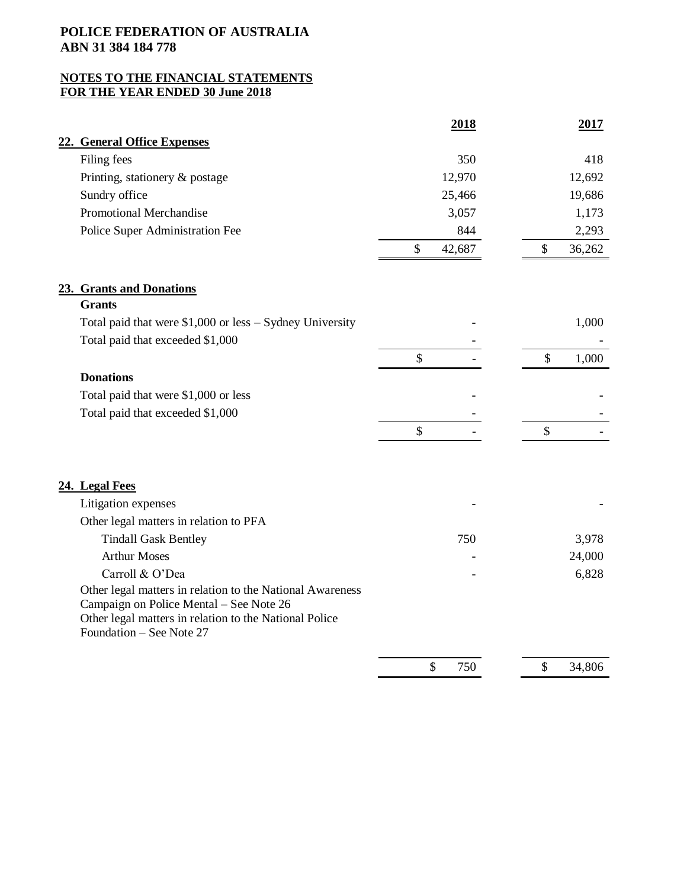|                                                                                                                                                                                            | 2018         | 2017         |
|--------------------------------------------------------------------------------------------------------------------------------------------------------------------------------------------|--------------|--------------|
| 22. General Office Expenses                                                                                                                                                                |              |              |
| Filing fees                                                                                                                                                                                | 350          | 418          |
| Printing, stationery & postage                                                                                                                                                             | 12,970       | 12,692       |
| Sundry office                                                                                                                                                                              | 25,466       | 19,686       |
| Promotional Merchandise                                                                                                                                                                    | 3,057        | 1,173        |
| Police Super Administration Fee                                                                                                                                                            | 844          | 2,293        |
|                                                                                                                                                                                            | \$<br>42,687 | \$<br>36,262 |
| 23. Grants and Donations                                                                                                                                                                   |              |              |
| <b>Grants</b>                                                                                                                                                                              |              |              |
| Total paid that were $$1,000$ or less - Sydney University                                                                                                                                  |              | 1,000        |
| Total paid that exceeded \$1,000                                                                                                                                                           |              |              |
|                                                                                                                                                                                            | \$           | \$<br>1,000  |
| <b>Donations</b>                                                                                                                                                                           |              |              |
| Total paid that were \$1,000 or less                                                                                                                                                       |              |              |
| Total paid that exceeded \$1,000                                                                                                                                                           |              |              |
|                                                                                                                                                                                            | \$           | \$           |
| 24. Legal Fees                                                                                                                                                                             |              |              |
| Litigation expenses                                                                                                                                                                        |              |              |
| Other legal matters in relation to PFA                                                                                                                                                     |              |              |
| <b>Tindall Gask Bentley</b>                                                                                                                                                                | 750          | 3,978        |
| <b>Arthur Moses</b>                                                                                                                                                                        |              | 24,000       |
| Carroll & O'Dea                                                                                                                                                                            |              | 6,828        |
| Other legal matters in relation to the National Awareness<br>Campaign on Police Mental - See Note 26<br>Other legal matters in relation to the National Police<br>Foundation - See Note 27 |              |              |
|                                                                                                                                                                                            |              |              |
|                                                                                                                                                                                            | \$<br>750    | \$<br>34,806 |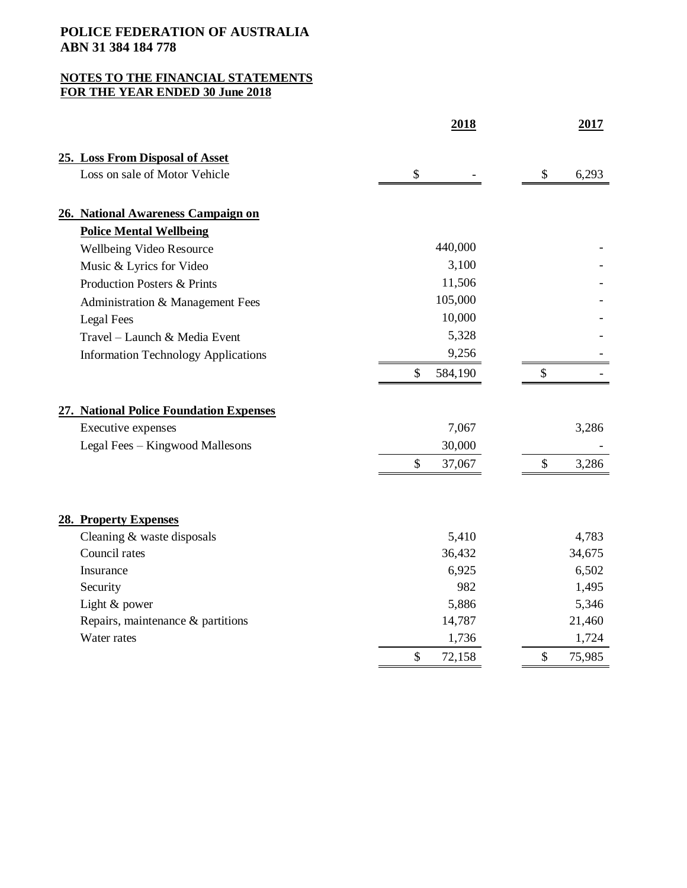|                                            | 2018          | <u>2017</u>  |
|--------------------------------------------|---------------|--------------|
| 25. Loss From Disposal of Asset            |               |              |
| Loss on sale of Motor Vehicle              | \$            | \$<br>6,293  |
| 26. National Awareness Campaign on         |               |              |
| <b>Police Mental Wellbeing</b>             |               |              |
| Wellbeing Video Resource                   | 440,000       |              |
| Music & Lyrics for Video                   | 3,100         |              |
| Production Posters & Prints                | 11,506        |              |
| Administration & Management Fees           | 105,000       |              |
| <b>Legal Fees</b>                          | 10,000        |              |
| Travel - Launch & Media Event              | 5,328         |              |
| <b>Information Technology Applications</b> | 9,256         |              |
|                                            | \$<br>584,190 | \$           |
| 27. National Police Foundation Expenses    |               |              |
| Executive expenses                         | 7,067         | 3,286        |
| Legal Fees - Kingwood Mallesons            | 30,000        |              |
|                                            | \$<br>37,067  | \$<br>3,286  |
|                                            |               |              |
| 28. Property Expenses                      |               |              |
| Cleaning & waste disposals                 | 5,410         | 4,783        |
| Council rates                              | 36,432        | 34,675       |
| Insurance                                  | 6,925         | 6,502        |
| Security                                   | 982           | 1,495        |
| Light & power                              | 5,886         | 5,346        |
| Repairs, maintenance & partitions          | 14,787        | 21,460       |
| Water rates                                | 1,736         | 1,724        |
|                                            | \$<br>72,158  | \$<br>75,985 |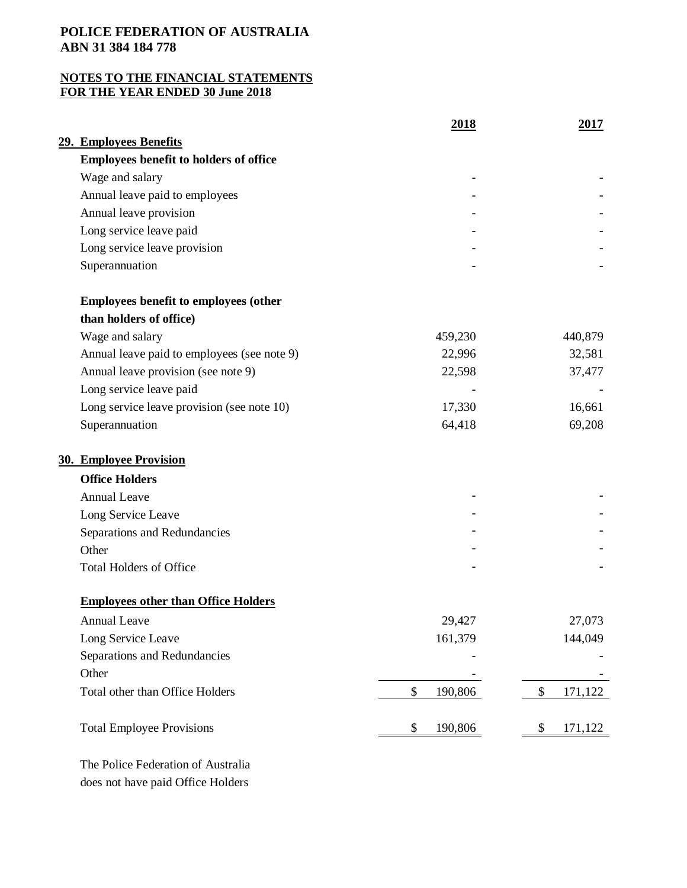# **NOTES TO THE FINANCIAL STATEMENTS FOR THE YEAR ENDED 30 June 2018**

|                                               | 2018          | 2017          |
|-----------------------------------------------|---------------|---------------|
| 29. Employees Benefits                        |               |               |
| <b>Employees benefit to holders of office</b> |               |               |
| Wage and salary                               |               |               |
| Annual leave paid to employees                |               |               |
| Annual leave provision                        |               |               |
| Long service leave paid                       |               |               |
| Long service leave provision                  |               |               |
| Superannuation                                |               |               |
| <b>Employees benefit to employees (other</b>  |               |               |
| than holders of office)                       |               |               |
| Wage and salary                               | 459,230       | 440,879       |
| Annual leave paid to employees (see note 9)   | 22,996        | 32,581        |
| Annual leave provision (see note 9)           | 22,598        | 37,477        |
| Long service leave paid                       |               |               |
| Long service leave provision (see note 10)    | 17,330        | 16,661        |
| Superannuation                                | 64,418        | 69,208        |
| <b>30. Employee Provision</b>                 |               |               |
| <b>Office Holders</b>                         |               |               |
| <b>Annual Leave</b>                           |               |               |
| Long Service Leave                            |               |               |
| Separations and Redundancies                  |               |               |
| Other                                         |               |               |
| <b>Total Holders of Office</b>                |               |               |
| <b>Employees other than Office Holders</b>    |               |               |
| <b>Annual Leave</b>                           | 29,427        | 27,073        |
| Long Service Leave                            | 161,379       | 144,049       |
| Separations and Redundancies                  |               |               |
| Other                                         |               |               |
| Total other than Office Holders               | \$<br>190,806 | \$<br>171,122 |
| <b>Total Employee Provisions</b>              | \$<br>190,806 | 171,122<br>\$ |
|                                               |               |               |

 The Police Federation of Australia does not have paid Office Holders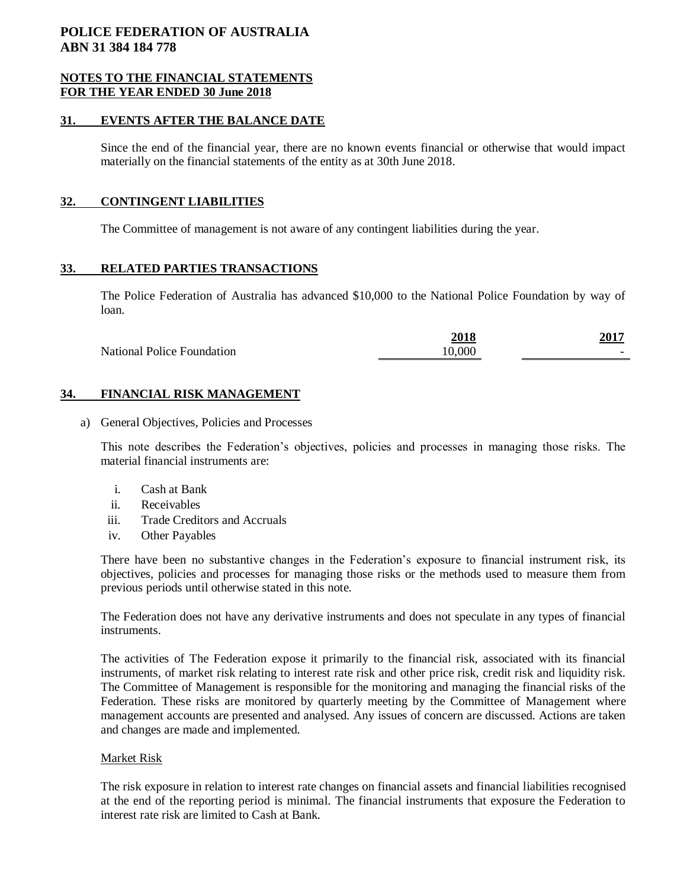### **NOTES TO THE FINANCIAL STATEMENTS FOR THE YEAR ENDED 30 June 2018**

## **31. EVENTS AFTER THE BALANCE DATE**

Since the end of the financial year, there are no known events financial or otherwise that would impact materially on the financial statements of the entity as at 30th June 2018.

### **32. CONTINGENT LIABILITIES**

The Committee of management is not aware of any contingent liabilities during the year.

## **33. RELATED PARTIES TRANSACTIONS**

The Police Federation of Australia has advanced \$10,000 to the National Police Foundation by way of loan.

|                                   | 2018   | 201'                     |
|-----------------------------------|--------|--------------------------|
| <b>National Police Foundation</b> | 10.000 | $\overline{\phantom{a}}$ |

## **34. FINANCIAL RISK MANAGEMENT**

a) General Objectives, Policies and Processes

This note describes the Federation's objectives, policies and processes in managing those risks. The material financial instruments are:

- i. Cash at Bank
- ii. Receivables
- iii. Trade Creditors and Accruals
- iv. Other Payables

There have been no substantive changes in the Federation's exposure to financial instrument risk, its objectives, policies and processes for managing those risks or the methods used to measure them from previous periods until otherwise stated in this note.

The Federation does not have any derivative instruments and does not speculate in any types of financial instruments.

The activities of The Federation expose it primarily to the financial risk, associated with its financial instruments, of market risk relating to interest rate risk and other price risk, credit risk and liquidity risk. The Committee of Management is responsible for the monitoring and managing the financial risks of the Federation. These risks are monitored by quarterly meeting by the Committee of Management where management accounts are presented and analysed. Any issues of concern are discussed. Actions are taken and changes are made and implemented.

#### Market Risk

The risk exposure in relation to interest rate changes on financial assets and financial liabilities recognised at the end of the reporting period is minimal. The financial instruments that exposure the Federation to interest rate risk are limited to Cash at Bank.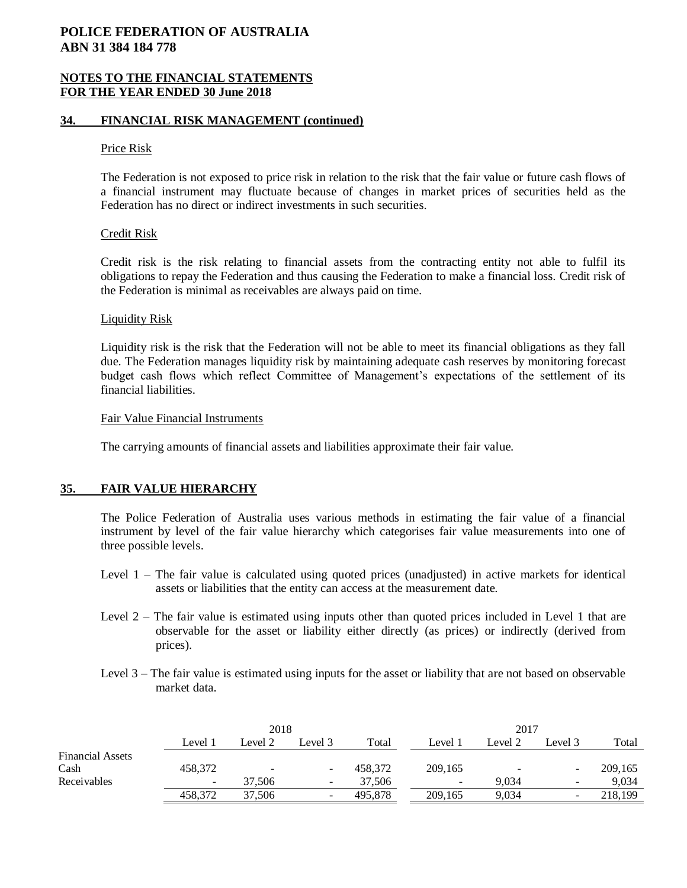### **NOTES TO THE FINANCIAL STATEMENTS FOR THE YEAR ENDED 30 June 2018**

### **34. FINANCIAL RISK MANAGEMENT (continued)**

#### Price Risk

The Federation is not exposed to price risk in relation to the risk that the fair value or future cash flows of a financial instrument may fluctuate because of changes in market prices of securities held as the Federation has no direct or indirect investments in such securities.

#### Credit Risk

Credit risk is the risk relating to financial assets from the contracting entity not able to fulfil its obligations to repay the Federation and thus causing the Federation to make a financial loss. Credit risk of the Federation is minimal as receivables are always paid on time.

#### Liquidity Risk

Liquidity risk is the risk that the Federation will not be able to meet its financial obligations as they fall due. The Federation manages liquidity risk by maintaining adequate cash reserves by monitoring forecast budget cash flows which reflect Committee of Management's expectations of the settlement of its financial liabilities.

#### Fair Value Financial Instruments

The carrying amounts of financial assets and liabilities approximate their fair value.

## **35. FAIR VALUE HIERARCHY**

The Police Federation of Australia uses various methods in estimating the fair value of a financial instrument by level of the fair value hierarchy which categorises fair value measurements into one of three possible levels.

- Level 1 The fair value is calculated using quoted prices (unadjusted) in active markets for identical assets or liabilities that the entity can access at the measurement date.
- Level 2 The fair value is estimated using inputs other than quoted prices included in Level 1 that are observable for the asset or liability either directly (as prices) or indirectly (derived from prices).
- Level 3 The fair value is estimated using inputs for the asset or liability that are not based on observable market data.

|                         | 2018    |                          |          | 2017    |                          |         |                          |         |
|-------------------------|---------|--------------------------|----------|---------|--------------------------|---------|--------------------------|---------|
|                         | Level 1 | Level 2                  | Level 3  | Total   | Level 1                  | Level 2 | Level 3                  | Total   |
| <b>Financial Assets</b> |         |                          |          |         |                          |         |                          |         |
| Cash                    | 458,372 | $\overline{\phantom{a}}$ |          | 458.372 | 209,165                  |         | -                        | 209,165 |
| Receivables             | ۰       | 37.506                   | $\equiv$ | 37,506  | $\overline{\phantom{a}}$ | 9.034   | $\overline{\phantom{a}}$ | 9.034   |
|                         | 458,372 | 37,506                   | -        | 495,878 | 209,165                  | 9,034   | $\overline{\phantom{a}}$ | 218,199 |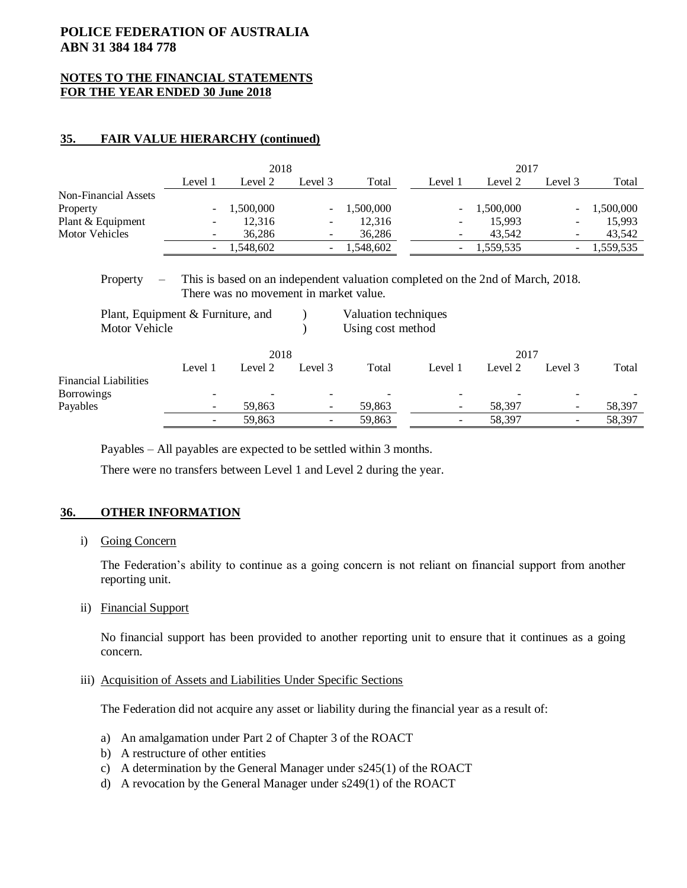## **NOTES TO THE FINANCIAL STATEMENTS FOR THE YEAR ENDED 30 June 2018**

## **35. FAIR VALUE HIERARCHY (continued)**

|                             | 2018    |           |         | 2017         |                          |           |                          |           |
|-----------------------------|---------|-----------|---------|--------------|--------------------------|-----------|--------------------------|-----------|
|                             | Level 1 | Level 2   | Level 3 | Total        | Level 1                  | Level 2   | Level 3                  | Total     |
| <b>Non-Financial Assets</b> |         |           |         |              |                          |           |                          |           |
| Property                    |         | 1,500,000 |         | $-1,500,000$ | $\sim$                   | 1,500,000 | $\overline{\phantom{0}}$ | 1,500,000 |
| Plant & Equipment           | -       | 12,316    | $\sim$  | 12.316       | ۰.                       | 15.993    | -                        | 15.993    |
| Motor Vehicles              | ۰.      | 36.286    |         | 36.286       | $\overline{\phantom{a}}$ | 43.542    | $\overline{\phantom{a}}$ | 43,542    |
|                             |         | 1,548,602 |         | $-1,548,602$ | ۰.                       | 1,559,535 | Ξ.                       | 1,559,535 |

## Property – This is based on an independent valuation completed on the 2nd of March, 2018. There was no movement in market value.

| Plant, Equipment & Furniture, and<br>Motor Vehicle<br>2018 |         |         | Valuation techniques<br>Using cost method |       |         |         |         |       |
|------------------------------------------------------------|---------|---------|-------------------------------------------|-------|---------|---------|---------|-------|
|                                                            |         |         | 2017                                      |       |         |         |         |       |
| <b>Financial Liabilities</b>                               | Level 1 | Level 2 | Level 3                                   | Total | Level 1 | Level 2 | Level 3 | Total |

Borrowings and the set of the set of the set of the set of the set of the set of the set of the set of the set of the set of the set of the set of the set of the set of the set of the set of the set of the set of the set o Payables - 59,863 - 59,863 - 58,397 - 58,397

- 59,863 - 59,863 - 58,397 - 58,397

Payables – All payables are expected to be settled within 3 months.

There were no transfers between Level 1 and Level 2 during the year.

## **36. OTHER INFORMATION**

i) Going Concern

The Federation's ability to continue as a going concern is not reliant on financial support from another reporting unit.

ii) Financial Support

No financial support has been provided to another reporting unit to ensure that it continues as a going concern.

### iii) Acquisition of Assets and Liabilities Under Specific Sections

The Federation did not acquire any asset or liability during the financial year as a result of:

- a) An amalgamation under Part 2 of Chapter 3 of the ROACT
- b) A restructure of other entities
- c) A determination by the General Manager under s245(1) of the ROACT
- d) A revocation by the General Manager under s249(1) of the ROACT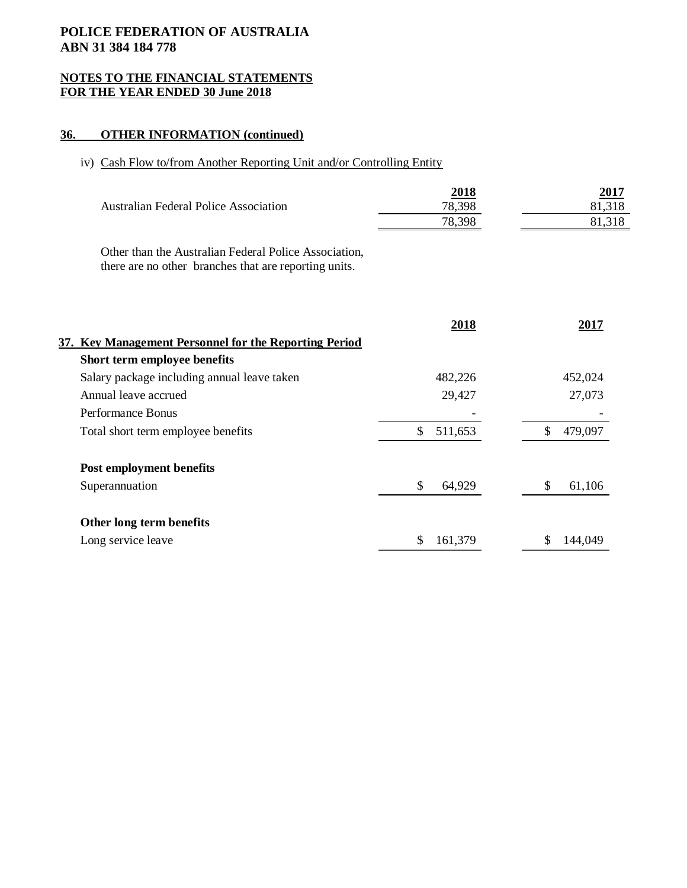## **NOTES TO THE FINANCIAL STATEMENTS FOR THE YEAR ENDED 30 June 2018**

## **36. OTHER INFORMATION (continued)**

# iv) Cash Flow to/from Another Reporting Unit and/or Controlling Entity

| <b>Australian Federal Police Association</b>                                                                   | 2018<br>78,398<br>78,398 | 2017<br>81,318<br>81,318 |
|----------------------------------------------------------------------------------------------------------------|--------------------------|--------------------------|
| Other than the Australian Federal Police Association,<br>there are no other branches that are reporting units. |                          |                          |
| 37. Key Management Personnel for the Reporting Period                                                          | <u>2018</u>              | <u>2017</u>              |
| Short term employee benefits                                                                                   |                          |                          |
| Salary package including annual leave taken                                                                    | 482,226                  | 452,024                  |
| Annual leave accrued                                                                                           | 29,427                   | 27,073                   |
| Performance Bonus                                                                                              |                          |                          |
| Total short term employee benefits                                                                             | \$<br>511,653            | $\mathbb{S}$<br>479,097  |
| Post employment benefits                                                                                       |                          |                          |
| Superannuation                                                                                                 | \$<br>64,929             | \$<br>61,106             |
| Other long term benefits                                                                                       |                          |                          |
| Long service leave                                                                                             | 161,379<br>\$            | 144,049<br>\$            |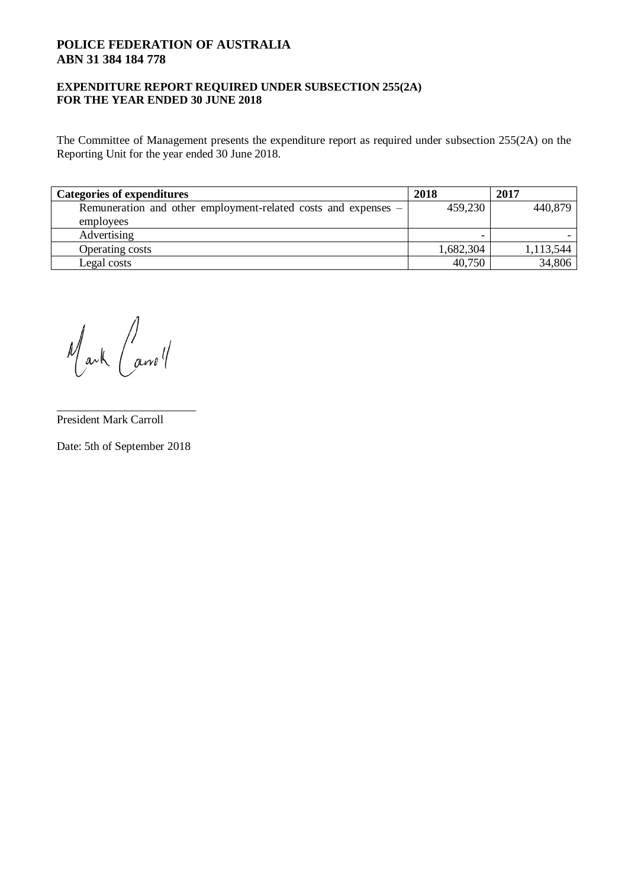## **EXPENDITURE REPORT REQUIRED UNDER SUBSECTION 255(2A) FOR THE YEAR ENDED 30 JUNE 2018**

The Committee of Management presents the expenditure report as required under subsection 255(2A) on the Reporting Unit for the year ended 30 June 2018.

| <b>Categories of expenditures</b>                              | 2018      | 2017      |
|----------------------------------------------------------------|-----------|-----------|
| Remuneration and other employment-related costs and expenses - | 459,230   | 440,879   |
| employees                                                      |           |           |
| Advertising                                                    |           |           |
| Operating costs                                                | 1,682,304 | 1,113,544 |
| Legal costs                                                    | 40,750    | 34,806    |

Mark Carroll

President Mark Carroll

Date: 5th of September 2018

\_\_\_\_\_\_\_\_\_\_\_\_\_\_\_\_\_\_\_\_\_\_\_\_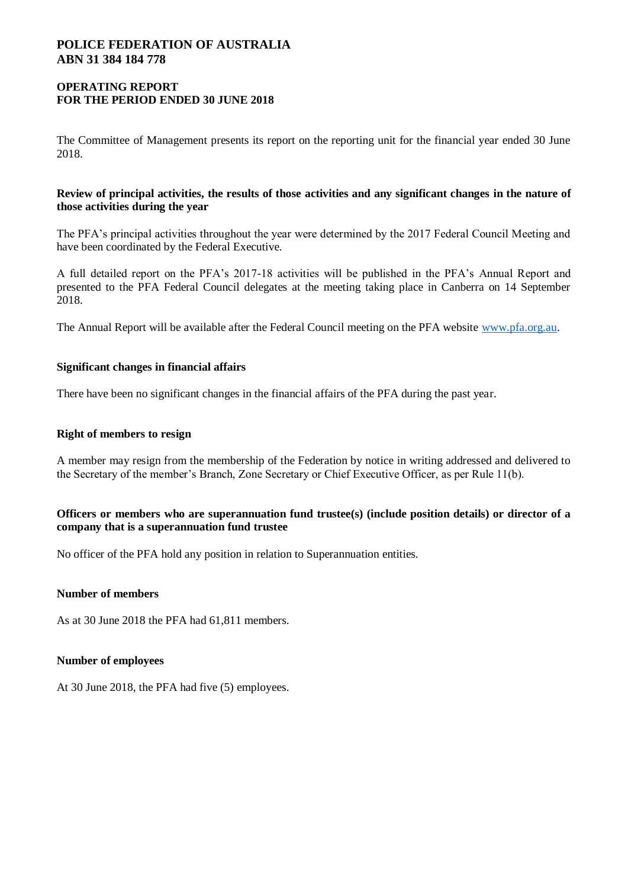## **OPERATING REPORT FOR THE PERIOD ENDED 30 JUNE 2018**

The Committee of Management presents its report on the reporting unit for the financial year ended 30 June 2018.

## **Review of principal activities, the results of those activities and any significant changes in the nature of those activities during the year**

The PFA's principal activities throughout the year were determined by the 2017 Federal Council Meeting and have been coordinated by the Federal Executive.

A full detailed report on the PFA's 2017-18 activities will be published in the PFA's Annual Report and presented to the PFA Federal Council delegates at the meeting taking place in Canberra on 14 September 2018.

The Annual Report will be available after the Federal Council meeting on the PFA website [www.pfa.org.au.](http://www.pfa.org.au/)

## **Significant changes in financial affairs**

There have been no significant changes in the financial affairs of the PFA during the past year.

## **Right of members to resign**

A member may resign from the membership of the Federation by notice in writing addressed and delivered to the Secretary of the member's Branch, Zone Secretary or Chief Executive Officer, as per Rule 11(b).

## **Officers or members who are superannuation fund trustee(s) (include position details) or director of a company that is a superannuation fund trustee**

No officer of the PFA hold any position in relation to Superannuation entities.

## **Number of members**

As at 30 June 2018 the PFA had 61,811 members.

## **Number of employees**

At 30 June 2018, the PFA had five (5) employees.